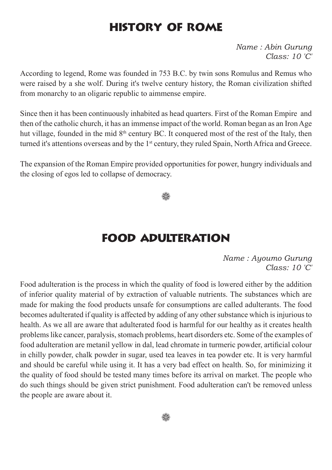### History of Rome

*Name : Abin Gurung Class: 10 'C'*

According to legend, Rome was founded in 753 B.C. by twin sons Romulus and Remus who were raised by a she wolf. During it's twelve century history, the Roman civilization shifted from monarchy to an oligaric republic to aimmense empire.

Since then it has been continuously inhabited as head quarters. First of the Roman Empire and then of the catholic church, it has an immense impact of the world. Roman began as an Iron Age hut village, founded in the mid 8<sup>th</sup> century BC. It conquered most of the rest of the Italy, then turned it's attentions overseas and by the 1<sup>st</sup> century, they ruled Spain, North Africa and Greece.

The expansion of the Roman Empire provided opportunities for power, hungry individuals and the closing of egos led to collapse of democracy.

92

#### Food adulteration

*Name : Ayoumo Gurung Class: 10 'C'*

Food adulteration is the process in which the quality of food is lowered either by the addition of inferior quality material of by extraction of valuable nutrients. The substances which are made for making the food products unsafe for consumptions are called adulterants. The food becomes adulterated if quality is affected by adding of any other substance which is injurious to health. As we all are aware that adulterated food is harmful for our healthy as it creates health problems like cancer, paralysis, stomach problems, heart disorders etc. Some of the examples of food adulteration are metanil yellow in dal, lead chromate in turmeric powder, artificial colour in chilly powder, chalk powder in sugar, used tea leaves in tea powder etc. It is very harmful and should be careful while using it. It has a very bad effect on health. So, for minimizing it the quality of food should be tested many times before its arrival on market. The people who do such things should be given strict punishment. Food adulteration can't be removed unless the people are aware about it.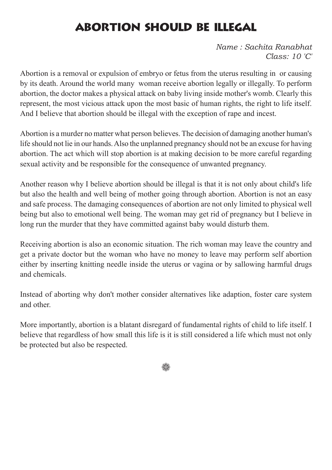# abortion should be illegal

*Name : Sachita Ranabhat Class: 10 'C'*

Abortion is a removal or expulsion of embryo or fetus from the uterus resulting in or causing by its death. Around the world many woman receive abortion legally or illegally. To perform abortion, the doctor makes a physical attack on baby living inside mother's womb. Clearly this represent, the most vicious attack upon the most basic of human rights, the right to life itself. And I believe that abortion should be illegal with the exception of rape and incest.

Abortion is a murder no matter what person believes. The decision of damaging another human's life should not lie in our hands. Also the unplanned pregnancy should not be an excuse for having abortion. The act which will stop abortion is at making decision to be more careful regarding sexual activity and be responsible for the consequence of unwanted pregnancy.

Another reason why I believe abortion should be illegal is that it is not only about child's life but also the health and well being of mother going through abortion. Abortion is not an easy and safe process. The damaging consequences of abortion are not only limited to physical well being but also to emotional well being. The woman may get rid of pregnancy but I believe in long run the murder that they have committed against baby would disturb them.

Receiving abortion is also an economic situation. The rich woman may leave the country and get a private doctor but the woman who have no money to leave may perform self abortion either by inserting knitting needle inside the uterus or vagina or by sallowing harmful drugs and chemicals.

Instead of aborting why don't mother consider alternatives like adaption, foster care system and other.

More importantly, abortion is a blatant disregard of fundamental rights of child to life itself. I believe that regardless of how small this life is it is still considered a life which must not only be protected but also be respected.

▒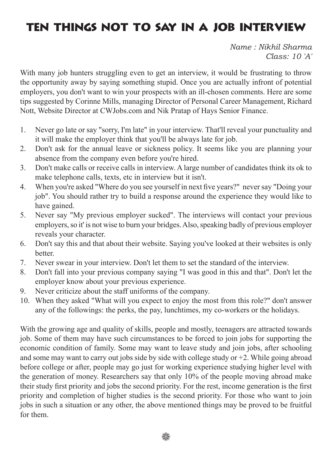# ten things not to say in a job interview

*Name : Nikhil Sharma Class: 10 'A'*

With many job hunters struggling even to get an interview, it would be frustrating to throw the opportunity away by saying something stupid. Once you are actually infront of potential employers, you don't want to win your prospects with an ill-chosen comments. Here are some tips suggested by Corinne Mills, managing Director of Personal Career Management, Richard Nott, Website Director at CWJobs.com and Nik Pratap of Hays Senior Finance.

- 1. Never go late or say "sorry, I'm late" in your interview. That'll reveal your punctuality and it will make the employer think that you'll be always late for job.
- 2. Don't ask for the annual leave or sickness policy. It seems like you are planning your absence from the company even before you're hired.
- 3. Don't make calls or receive calls in interview. A large number of candidates think its ok to make telephone calls, texts, etc in interview but it isn't.
- 4. When you're asked "Where do you see yourself in next five years?" never say "Doing your job". You should rather try to build a response around the experience they would like to have gained.
- 5. Never say "My previous employer sucked". The interviews will contact your previous employers, so it' is not wise to burn your bridges. Also, speaking badly of previous employer reveals your character.
- 6. Don't say this and that about their website. Saying you've looked at their websites is only better.
- 7. Never swear in your interview. Don't let them to set the standard of the interview.
- 8. Don't fall into your previous company saying "I was good in this and that". Don't let the employer know about your previous experience.
- 9. Never criticize about the staff uniforms of the company.
- 10. When they asked "What will you expect to enjoy the most from this role?" don't answer any of the followings: the perks, the pay, lunchtimes, my co-workers or the holidays.

With the growing age and quality of skills, people and mostly, teenagers are attracted towards job. Some of them may have such circumstances to be forced to join jobs for supporting the economic condition of family. Some may want to leave study and join jobs, after schooling and some may want to carry out jobs side by side with college study or  $+2$ . While going abroad before college or after, people may go just for working experience studying higher level with the generation of money. Researchers say that only 10% of the people moving abroad make their study first priority and jobs the second priority. For the rest, income generation is the first priority and completion of higher studies is the second priority. For those who want to join jobs in such a situation or any other, the above mentioned things may be proved to be fruitful for them.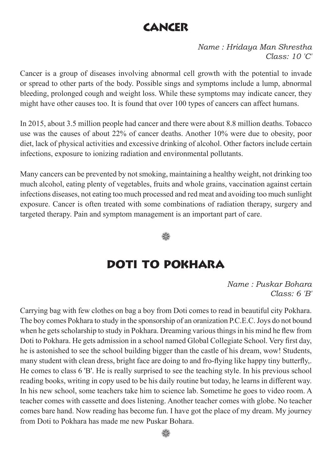## **CANCER**

*Name : Hridaya Man Shrestha Class: 10 'C'*

Cancer is a group of diseases involving abnormal cell growth with the potential to invade or spread to other parts of the body. Possible sings and symptoms include a lump, abnormal bleeding, prolonged cough and weight loss. While these symptoms may indicate cancer, they might have other causes too. It is found that over 100 types of cancers can affect humans.

In 2015, about 3.5 million people had cancer and there were about 8.8 million deaths. Tobacco use was the causes of about 22% of cancer deaths. Another 10% were due to obesity, poor diet, lack of physical activities and excessive drinking of alcohol. Other factors include certain infections, exposure to ionizing radiation and environmental pollutants.

Many cancers can be prevented by not smoking, maintaining a healthy weight, not drinking too much alcohol, eating plenty of vegetables, fruits and whole grains, vaccination against certain infections diseases, not eating too much processed and red meat and avoiding too much sunlight exposure. Cancer is often treated with some combinations of radiation therapy, surgery and targeted therapy. Pain and symptom management is an important part of care.

∰

#### Doti to pokhara

*Name : Puskar Bohara Class: 6 'B'*

Carrying bag with few clothes on bag a boy from Doti comes to read in beautiful city Pokhara. The boy comes Pokhara to study in the sponsorship of an oranization P.C.E.C. Joys do not bound when he gets scholarship to study in Pokhara. Dreaming various things in his mind he flew from Doti to Pokhara. He gets admission in a school named Global Collegiate School. Very first day, he is astonished to see the school building bigger than the castle of his dream, wow! Students, many student with clean dress, bright face are doing to and fro-flying like happy tiny butterfly,. He comes to class 6 'B'. He is really surprised to see the teaching style. In his previous school reading books, writing in copy used to be his daily routine but today, he learns in different way. In his new school, some teachers take him to science lab. Sometime he goes to video room. A teacher comes with cassette and does listening. Another teacher comes with globe. No teacher comes bare hand. Now reading has become fun. I have got the place of my dream. My journey from Doti to Pokhara has made me new Puskar Bohara.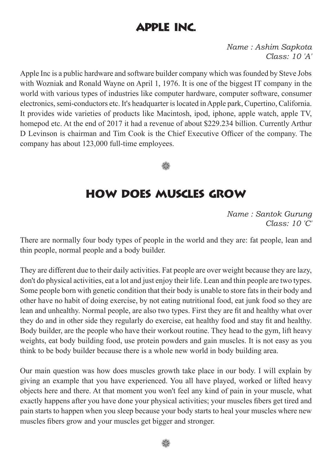## Apple inc.

*Name : Ashim Sapkota Class: 10 'A'*

Apple Inc is a public hardware and software builder company which was founded by Steve Jobs with Wozniak and Ronald Wayne on April 1, 1976. It is one of the biggest IT company in the world with various types of industries like computer hardware, computer software, consumer electronics, semi-conductors etc. It's headquarter is located in Apple park, Cupertino, California. It provides wide varieties of products like Macintosh, ipod, iphone, apple watch, apple TV, homepod etc. At the end of 2017 it had a revenue of about \$229.234 billion. Currently Arthur D Levinson is chairman and Tim Cook is the Chief Executive Officer of the company. The company has about 123,000 full-time employees.

▒

#### how does muscles grow

*Name : Santok Gurung Class: 10 'C'*

There are normally four body types of people in the world and they are: fat people, lean and thin people, normal people and a body builder.

They are different due to their daily activities. Fat people are over weight because they are lazy, don't do physical activities, eat a lot and just enjoy their life. Lean and thin people are two types. Some people born with genetic condition that their body is unable to store fats in their body and other have no habit of doing exercise, by not eating nutritional food, eat junk food so they are lean and unhealthy. Normal people, are also two types. First they are fit and healthy what over they do and in other side they regularly do exercise, eat healthy food and stay fit and healthy. Body builder, are the people who have their workout routine. They head to the gym, lift heavy weights, eat body building food, use protein powders and gain muscles. It is not easy as you think to be body builder because there is a whole new world in body building area.

Our main question was how does muscles growth take place in our body. I will explain by giving an example that you have experienced. You all have played, worked or lifted heavy objects here and there. At that moment you won't feel any kind of pain in your muscle, what exactly happens after you have done your physical activities; your muscles fibers get tired and pain starts to happen when you sleep because your body starts to heal your muscles where new muscles fibers grow and your muscles get bigger and stronger.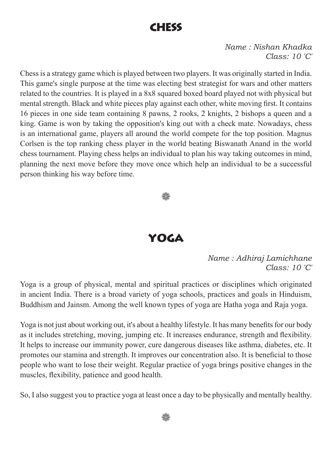#### chess

*Name : Nishan Khadka Class: 10 'C'*

Chess is a strategy game which is played between two players. It was originally started in India. This game's single purpose at the time was electing best strategist for wars and other matters related to the countries. It is played in a 8x8 squared boxed board played not with physical but mental strength. Black and white pieces play against each other, white moving first. It contains 16 pieces in one side team containing 8 pawns, 2 rooks, 2 knights, 2 bishops a queen and a king. Game is won by taking the opposition's king out with a check mate. Nowadays, chess is an international game, players all around the world compete for the top position. Magnus Corlsen is the top ranking chess player in the world beating Biswanath Anand in the world chess tournament. Playing chess helps an individual to plan his way taking outcomes in mind, planning the next move before they move once which help an individual to be a successful person thinking his way before time.



#### yoga

*Name : Adhiraj Lamichhane Class: 10 'C'*

Yoga is a group of physical, mental and spiritual practices or disciplines which originated in ancient India. There is a broad variety of yoga schools, practices and goals in Hinduism, Buddhism and Jainsm. Among the well known types of yoga are Hatha yoga and Raja yoga.

Yoga is not just about working out, it's about a healthy lifestyle. It has many benefits for our body as it includes stretching, moving, jumping etc. It increases endurance, strength and flexibility. It helps to increase our immunity power, cure dangerous diseases like asthma, diabetes, etc. It promotes our stamina and strength. It improves our concentration also. It is beneficial to those people who want to lose their weight. Regular practice of yoga brings positive changes in the muscles, flexibility, patience and good health.

So, I also suggest you to practice yoga at least once a day to be physically and mentally healthy.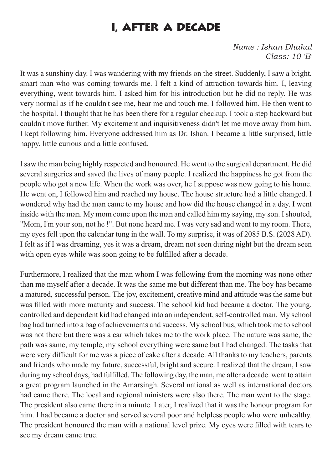## i, after a decade

*Name : Ishan Dhakal Class: 10 'B'*

It was a sunshiny day. I was wandering with my friends on the street. Suddenly, I saw a bright, smart man who was coming towards me. I felt a kind of attraction towards him. I, leaving everything, went towards him. I asked him for his introduction but he did no reply. He was very normal as if he couldn't see me, hear me and touch me. I followed him. He then went to the hospital. I thought that he has been there for a regular checkup. I took a step backward but couldn't move further. My excitement and inquisitiveness didn't let me move away from him. I kept following him. Everyone addressed him as Dr. Ishan. I became a little surprised, little happy, little curious and a little confused.

I saw the man being highly respected and honoured. He went to the surgical department. He did several surgeries and saved the lives of many people. I realized the happiness he got from the people who got a new life. When the work was over, he I suppose was now going to his home. He went on, I followed him and reached my house. The house structure had a little changed. I wondered why had the man came to my house and how did the house changed in a day. I went inside with the man. My mom come upon the man and called him my saying, my son. I shouted, "Mom, I'm your son, not he !". But none heard me. I was very sad and went to my room. There, my eyes fell upon the calendar tung in the wall. To my surprise, it was of 2085 B.S. (2028 AD). I felt as if I was dreaming, yes it was a dream, dream not seen during night but the dream seen with open eyes while was soon going to be fulfilled after a decade.

Furthermore, I realized that the man whom I was following from the morning was none other than me myself after a decade. It was the same me but different than me. The boy has became a matured, successful person. The joy, excitement, creative mind and attitude was the same but was filled with more maturity and success. The school kid had became a doctor. The young, controlled and dependent kid had changed into an independent, self-controlled man. My school bag had turned into a bag of achievements and success. My school bus, which took me to school was not there but there was a car which takes me to the work place. The nature was same, the path was same, my temple, my school everything were same but I had changed. The tasks that were very difficult for me was a piece of cake after a decade. All thanks to my teachers, parents and friends who made my future, successful, bright and secure. I realized that the dream, I saw during my school days, had fulfilled. The following day, the man, me after a decade. went to attain a great program launched in the Amarsingh. Several national as well as international doctors had came there. The local and regional ministers were also there. The man went to the stage. The president also came there in a minute. Later, I realized that it was the honour program for him. I had became a doctor and served several poor and helpless people who were unhealthy. The president honoured the man with a national level prize. My eyes were filled with tears to see my dream came true.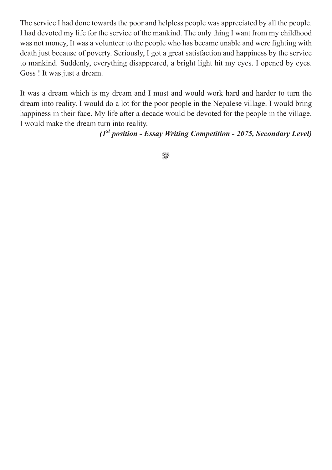The service I had done towards the poor and helpless people was appreciated by all the people. I had devoted my life for the service of the mankind. The only thing I want from my childhood was not money, It was a volunteer to the people who has became unable and were fighting with death just because of poverty. Seriously, I got a great satisfaction and happiness by the service to mankind. Suddenly, everything disappeared, a bright light hit my eyes. I opened by eyes. Goss ! It was just a dream.

It was a dream which is my dream and I must and would work hard and harder to turn the dream into reality. I would do a lot for the poor people in the Nepalese village. I would bring happiness in their face. My life after a decade would be devoted for the people in the village. I would make the dream turn into reality.

*(1st position - Essay Writing Competition - 2075, Secondary Level)*

₩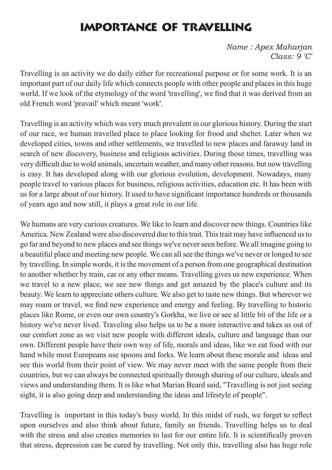## importance of travelling

*Name : Apex Maharjan Class: 9 'C'*

Travelling is an activity we do daily either for recreational purpose or for some work. It is an important part of our daily life which connects people with other people and places in this huge world. If we look of the etymology of the word 'travelling', we find that it was derived from an old French word 'pravail' which meant 'work'.

Travelling is an activity which was very much prevalent in our glorious history. During the start of our race, we human travelled place to place looking for frood and shelter. Later when we developed cities, towns and other settlements, we travelled to new places and faraway land in search of new discovery, business and religious activities. During those times, travelling was very difficult due to wold animals, uncertain weather, and many other reasons. but now travelling is easy. It has developed along with our glorious evolution, development. Nowadays, many people travel to various places for business, religious activities, education etc. It has been with us for a large about of our history. It used to have significant importance hundreds or thousands of years ago and now still, it plays a great role in our life.

We humans are very curious creatures. We like to learn and discover new things. Countries like America. New Zealand were also discovered due to this trait. This trait may have influenced us to go far and beyond to new places and see things we've never seen before. We all imagine going to a beautiful place and meeting new people. We can all see the things we've never or longed to see by travelling. In simple words, it is the movement of a person from one geographical destination to another whether by train, car or any other means. Travelling gives us new experience. When we travel to a new place, we see new things and get amazed by the place's culture and its beauty. We learn to appreciate others culture. We also get to taste new things. But wherever we may roam or travel, we find new experience and energy and feeling. By travelling to historic places like Rome, or even our own country's Gorkha, we live or see al little bit of the life or a history we've never lived. Traveling also helps us to be a more interactive and takes us out of our comfort zone as we visit new people with different ideals, culture and language than our own. Different people have their own way of life, morals and ideas, like we eat food with our hand while most Europeans use spoons and forks. We learn about these morale and ideas and see this world from their point of view. We may never meet with the same people from their countries, but we can always be connected spiritually through sharing of our culture, ideals and views and understanding them. It is like what Marian Beard said, "Travelling is not just seeing sight, it is also going deep and understanding the ideas and lifestyle of people".

Travelling is important in this today's busy world. In this midst of rush, we forget to reflect upon ourselves and also think about future, family an friends. Travelling helps us to deal with the stress and also creates memories to last for our entire life. It is scientifically proven that stress, depression can be cured by travelling. Not only this, travelling also has huge role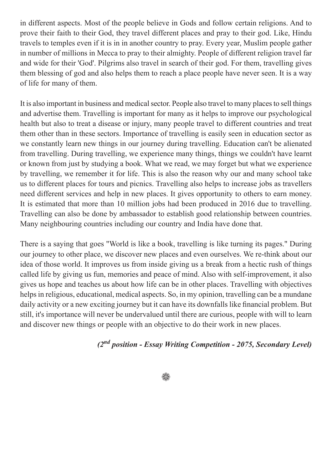in different aspects. Most of the people believe in Gods and follow certain religions. And to prove their faith to their God, they travel different places and pray to their god. Like, Hindu travels to temples even if it is in in another country to pray. Every year, Muslim people gather in number of millions in Mecca to pray to their almighty. People of different religion travel far and wide for their 'God'. Pilgrims also travel in search of their god. For them, travelling gives them blessing of god and also helps them to reach a place people have never seen. It is a way of life for many of them.

It is also important in business and medical sector. People also travel to many places to sell things and advertise them. Travelling is important for many as it helps to improve our psychological health but also to treat a disease or injury, many people travel to different countries and treat them other than in these sectors. Importance of travelling is easily seen in education sector as we constantly learn new things in our journey during travelling. Education can't be alienated from travelling. During travelling, we experience many things, things we couldn't have learnt or known from just by studying a book. What we read, we may forget but what we experience by travelling, we remember it for life. This is also the reason why our and many school take us to different places for tours and picnics. Travelling also helps to increase jobs as travellers need different services and help in new places. It gives opportunity to others to earn money. It is estimated that more than 10 million jobs had been produced in 2016 due to travelling. Travelling can also be done by ambassador to establish good relationship between countries. Many neighbouring countries including our country and India have done that.

There is a saying that goes "World is like a book, travelling is like turning its pages." During our journey to other place, we discover new places and even ourselves. We re-think about our idea of those world. It improves us from inside giving us a break from a hectic rush of things called life by giving us fun, memories and peace of mind. Also with self-improvement, it also gives us hope and teaches us about how life can be in other places. Travelling with objectives helps in religious, educational, medical aspects. So, in my opinion, travelling can be a mundane daily activity or a new exciting journey but it can have its downfalls like financial problem. But still, it's importance will never be undervalued until there are curious, people with will to learn and discover new things or people with an objective to do their work in new places.

#### *(2nd position - Essay Writing Competition - 2075, Secondary Level)*

#### ∰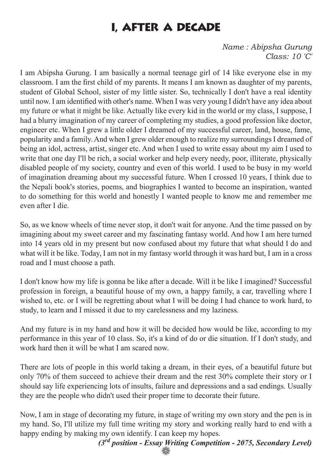## I, after a decade

*Name : Abipsha Gurung Class: 10 'C'*

I am Abipsha Gurung. I am basically a normal teenage girl of 14 like everyone else in my classroom. I am the first child of my parents. It means I am known as daughter of my parents, student of Global School, sister of my little sister. So, technically I don't have a real identity until now. I am identified with other's name. When I was very young I didn't have any idea about my future or what it might be like. Actually like every kid in the world or my class, I suppose, I had a blurry imagination of my career of completing my studies, a good profession like doctor, engineer etc. When I grew a little older I dreamed of my successful career, land, house, fame, popularity and a family. And when I grew older enough to realize my surroundings I dreamed of being an idol, actress, artist, singer etc. And when I used to write essay about my aim I used to write that one day I'll be rich, a social worker and help every needy, poor, illiterate, physically disabled people of my society, country and even of this world. I used to be busy in my world of imagination dreaming about my successful future. When I crossed 10 years, I think due to the Nepali book's stories, poems, and biographies I wanted to become an inspiration, wanted to do something for this world and honestly I wanted people to know me and remember me even after I die.

So, as we know wheels of time never stop, it don't wait for anyone. And the time passed on by imagining about my sweet career and my fascinating fantasy world. And how I am here turned into 14 years old in my present but now confused about my future that what should I do and what will it be like. Today, I am not in my fantasy world through it was hard but, I am in a cross road and I must choose a path.

I don't know how my life is gonna be like after a decade. Will it be like I imagined? Successful profession in foreign, a beautiful house of my own, a happy family, a car, travelling where I wished to, etc. or I will be regretting about what I will be doing I had chance to work hard, to study, to learn and I missed it due to my carelessness and my laziness.

And my future is in my hand and how it will be decided how would be like, according to my performance in this year of 10 class. So, it's a kind of do or die situation. If I don't study, and work hard then it will be what I am scared now.

There are lots of people in this world taking a dream, in their eyes, of a beautiful future but only 70% of them succeed to achieve their dream and the rest 30% complete their story or I should say life experiencing lots of insults, failure and depressions and a sad endings. Usually they are the people who didn't used their proper time to decorate their future.

Now, I am in stage of decorating my future, in stage of writing my own story and the pen is in my hand. So, I'll utilize my full time writing my story and working really hard to end with a happy ending by making my own identify. I can keep my hopes.

> *(3rd position - Essay Writing Competition - 2075, Secondary Level)* ₩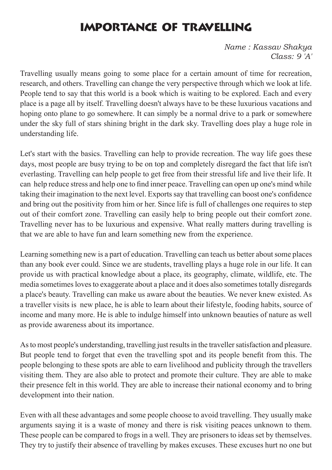## Importance of travelling

*Name : Kassav Shakya Class: 9 'A'*

Travelling usually means going to some place for a certain amount of time for recreation, research, and others. Travelling can change the very perspective through which we look at life. People tend to say that this world is a book which is waiting to be explored. Each and every place is a page all by itself. Travelling doesn't always have to be these luxurious vacations and hoping onto plane to go somewhere. It can simply be a normal drive to a park or somewhere under the sky full of stars shining bright in the dark sky. Travelling does play a huge role in understanding life.

Let's start with the basics. Travelling can help to provide recreation. The way life goes these days, most people are busy trying to be on top and completely disregard the fact that life isn't everlasting. Travelling can help people to get free from their stressful life and live their life. It can help reduce stress and help one to find inner peace. Travelling can open up one's mind while taking their imagination to the next level. Exports say that travelling can boost one's confidence and bring out the positivity from him or her. Since life is full of challenges one requires to step out of their comfort zone. Travelling can easily help to bring people out their comfort zone. Travelling never has to be luxurious and expensive. What really matters during travelling is that we are able to have fun and learn something new from the experience.

Learning something new is a part of education. Travelling can teach us better about some places than any book ever could. Since we are students, travelling plays a huge role in our life. It can provide us with practical knowledge about a place, its geography, climate, wildlife, etc. The media sometimes loves to exaggerate about a place and it does also sometimes totally disregards a place's beauty. Travelling can make us aware about the beauties. We never knew existed. As a traveller visits is new place, he is able to learn about their lifestyle, fooding habits, source of income and many more. He is able to indulge himself into unknown beauties of nature as well as provide awareness about its importance.

As to most people's understanding, travelling just results in the traveller satisfaction and pleasure. But people tend to forget that even the travelling spot and its people benefit from this. The people belonging to these spots are able to earn livelihood and publicity through the travellers visiting them. They are also able to protect and promote their culture. They are able to make their presence felt in this world. They are able to increase their national economy and to bring development into their nation.

Even with all these advantages and some people choose to avoid travelling. They usually make arguments saying it is a waste of money and there is risk visiting peaces unknown to them. These people can be compared to frogs in a well. They are prisoners to ideas set by themselves. They try to justify their absence of travelling by makes excuses. These excuses hurt no one but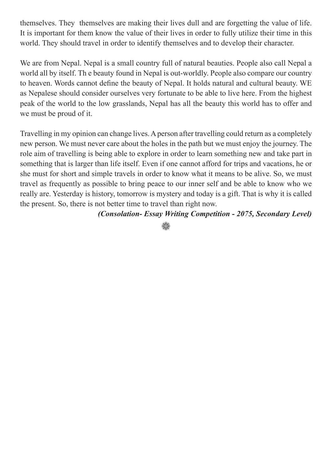themselves. They themselves are making their lives dull and are forgetting the value of life. It is important for them know the value of their lives in order to fully utilize their time in this world. They should travel in order to identify themselves and to develop their character.

We are from Nepal. Nepal is a small country full of natural beauties. People also call Nepal a world all by itself. Th e beauty found in Nepal is out-worldly. People also compare our country to heaven. Words cannot define the beauty of Nepal. It holds natural and cultural beauty. WE as Nepalese should consider ourselves very fortunate to be able to live here. From the highest peak of the world to the low grasslands, Nepal has all the beauty this world has to offer and we must be proud of it.

Travelling in my opinion can change lives. A person after travelling could return as a completely new person. We must never care about the holes in the path but we must enjoy the journey. The role aim of travelling is being able to explore in order to learn something new and take part in something that is larger than life itself. Even if one cannot afford for trips and vacations, he or she must for short and simple travels in order to know what it means to be alive. So, we must travel as frequently as possible to bring peace to our inner self and be able to know who we really are. Yesterday is history, tomorrow is mystery and today is a gift. That is why it is called the present. So, there is not better time to travel than right now.

*(Consolation- Essay Writing Competition - 2075, Secondary Level)*

₩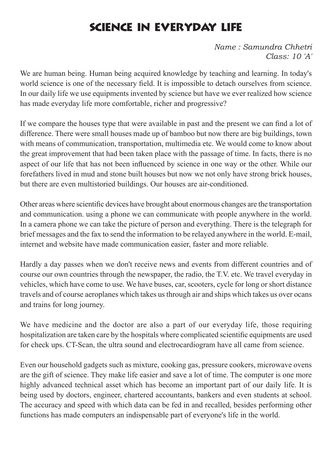# science in everyday life

*Name : Samundra Chhetri Class: 10 'A'*

We are human being. Human being acquired knowledge by teaching and learning. In today's world science is one of the necessary field. It is impossible to detach ourselves from science. In our daily life we use equipments invented by science but have we ever realized how science has made everyday life more comfortable, richer and progressive?

If we compare the houses type that were available in past and the present we can find a lot of difference. There were small houses made up of bamboo but now there are big buildings, town with means of communication, transportation, multimedia etc. We would come to know about the great improvement that had been taken place with the passage of time. In facts, there is no aspect of our life that has not been influenced by science in one way or the other. While our forefathers lived in mud and stone built houses but now we not only have strong brick houses, but there are even multistoried buildings. Our houses are air-conditioned.

Other areas where scientific devices have brought about enormous changes are the transportation and communication. using a phone we can communicate with people anywhere in the world. In a camera phone we can take the picture of person and everything. There is the telegraph for brief messages and the fax to send the information to be relayed anywhere in the world. E-mail, internet and website have made communication easier, faster and more reliable.

Hardly a day passes when we don't receive news and events from different countries and of course our own countries through the newspaper, the radio, the T.V. etc. We travel everyday in vehicles, which have come to use. We have buses, car, scooters, cycle for long or short distance travels and of course aeroplanes which takes us through air and ships which takes us over ocans and trains for long journey.

We have medicine and the doctor are also a part of our everyday life, those requiring hospitalization are taken care by the hospitals where complicated scientific equipments are used for check ups. CT-Scan, the ultra sound and electrocardiogram have all came from science.

Even our household gadgets such as mixture, cooking gas, pressure cookers, microwave ovens are the gift of science. They make life easier and save a lot of time. The computer is one more highly advanced technical asset which has become an important part of our daily life. It is being used by doctors, engineer, chartered accountants, bankers and even students at school. The accuracy and speed with which data can be fed in and recalled, besides performing other functions has made computers an indispensable part of everyone's life in the world.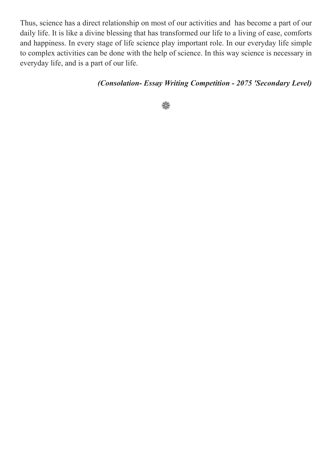Thus, science has a direct relationship on most of our activities and has become a part of our daily life. It is like a divine blessing that has transformed our life to a living of ease, comforts and happiness. In every stage of life science play important role. In our everyday life simple to complex activities can be done with the help of science. In this way science is necessary in everyday life, and is a part of our life.

#### *(Consolation- Essay Writing Competition - 2075 'Secondary Level)*

₩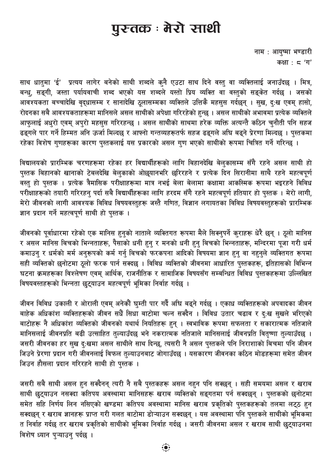# पुरन्तक : मेरो साथी

नाम : आयुष्मा भण्डारी कक्षा:  $5'$  'ग'

साथ धातुमा 'ई' प्रत्यय लागेर बनेको साथी शब्दले कुनै एउटा साथ दिने वस्तु वा व्यक्तिलाई जनाउँदछ । मित्र, बन्ध, सङ्गी, जस्ता पर्यायवाची शब्द भएको यस शब्दले यस्तो प्रिय व्यक्ति वा वस्तुको सङ्केत गर्दछ । जसको आवश्यकता बच्चादेखि वृद्धासम्म र सानादेखि ठूलासम्मका व्यक्तिले उत्तिकै महसुस गर्दछन् । सुख, दुःख एवम् हासो, रोदनका सबै आवश्यकताहरूमा मानिसले असल साथीको अपेक्षा गरिरहेको हुन्छ । असल साथीको अभावमा प्रत्येक व्यक्तिले आफुलाई अधुरो एवम् अपुरो महसुस गरिरहन्छ । असल साथीको साथमा हरेक व्यक्ति अत्यन्तै कठिन चुनौती पनि सहज ढइगले पार गर्ने हिम्मत अनि ऊर्जा मिल्दछ र आफ्नो गन्तव्यहरूतर्फ सहज ढङ्गले अघि बढ्ने प्रेरणा मिल्दछ । पुस्तकमा रहेका विशेष गुणहरूका कारण पुस्तकलाई यस प्रकारको असल गुण भएको साथीको रूपमा चित्रित गर्ने गरिन्छ ।

विद्यालयको प्रारम्भिक चरणहरूमा रहेका हर विद्यार्थीहरूको लागि बिहानदेखि बेलुकासम्म सँगै रहने असल साथी हो पुस्तक बिहानको खानाको टेबलदेखि बेलुकाको ओछ्यानभरि छरिरहने र प्रत्येक दिन सिरानीमा साथै रहने महत्वपूर्ण -<br>वस्तु हो पुस्तक । प्रत्येक त्रैमासिक परीक्षाहरूमा मात्र नभई बेला बेलामा कक्षामा आकस्मिक रूपमा भइरहने विविध परीक्षाहरूको तयारी गरिरहन् पर्दा सबै विद्यार्थीहरूका लागि हरदम सँगै रहने महत्वपूर्ण हतियार हो पुस्तक । मेरो लागी, मेरो जीवनको लागी आवश्यक विविध विषयवस्तुहरू जस्तै गणित, विज्ञान लगायतका विविध विषयवस्तुहरूको प्रारम्भिक ज्ञान प्रदान गर्ने महत्वपूर्ण साथी हो पुस्तक ।

जीवनको पूर्वाधारमा रहेको एक मानिस हुनुको नाताले व्यक्तिगत रूपमा मैले सिक्नुपर्ने कुराहरू धेरै छन् । ठूलो मानिस र असल मानिस बिचको भिन्नताहरू, पैसाको धनी हुनु र मनको धनी हुनु बिचको भिन्नताहरू, मन्दिरमा पूजा गरी धर्म कमाउन् र धर्मको मर्म अनुरूपको कर्म गर्न् बिचको फरकपना आदिको विषयमा ज्ञान हुन् वा नहुनुले व्यक्तिगत रूपमा सही व्यक्तिको छनोटमा ठूलो फरक पार्न सक्दछ । विविध व्यक्तिको जीवनमा आधारित पुस्तकहरू, इतिहासको विभिन्न घटना क्रमहरूका विश्लेषण एवम् आर्थिक, राजनीतिक र सामाजिक विषयसँग सम्बन्धित विविध पुस्तकहरूमा उल्लिखित विषयवस्तहरूको भिन्नता छुट्याउन महत्वपूर्ण भूमिका निर्वाह गर्दछ ।

जीवन विविध उकाली र ओराली एवम् अनेकौं घुम्ती पार गर्दैे अघि बढ्ने गर्दछ । एकाध व्यक्तिहरूको अपवादका जीवन बाहेक अधिकांश व्यक्तिहरूको जीवन सधैँ सिधा बाटोमा चल्न सक्दैन । विविध उतार चढाव र दुःख सुखले भरिएको बाटोहरू नै अधिकांश व्यक्तिको जीवनको यथार्थ नियतिहरू हुन् । स्वभाविक रूपमा सफलता र संकारात्मक नतिजाले मानिसलाई जीवनप्रति बढी उत्साहित तुल्याउँदछ भने नकरात्मक नतिजाले मानिसलाई जीवनप्रति वितृष्णा तुल्याउँदछ । जसरी जीवनका हर सुख दुःखमा असल साथीले साथ दिन्छ, त्यसरी नै असल पुस्तकले पनि निराशाको बिचमा पनि जीवन जिउने प्रेरणा प्रदान गरी जीवनलाई विफल तुल्याउनबाट जोगाउँदछ । यसकारण जीवनका कठिन मोडहरूमा समेत जीवन जिउन हौसला प्रदान गरिरहने साथी हो पस्तक ।

जसरी सबै साथी असल हुन सक्दैनन् त्यरी नै सबै पुस्तकहरू असल नहुन पनि सक्छन् । सही समयमा असल र खराब साथी छट्याउन नसक्दा कतिपय अवस्थामा मानिसहरू खराब व्यक्तिको सङ्गतमा पर्न सक्दछन् । पुस्तकको छनोटमा समेत सहि निर्णय लिन नसिएको खण्डमा कतिपय अवस्थामा मानिस खराब प्रकृतिको पुस्तकहरूको तलमा लट्ठ हुन सक्दछन् र खराब ज्ञानहरू प्राप्त गरी गलत बाटोमा डोऱ्याउन सक्दछन् । यस अवस्थामा पनि पुस्तकले साथीको भूमिकमा त निर्वाह गर्दछ तर खराब प्रकृतिको साथीको भूमिका निर्वाह गर्दछ । जसरी जीवनमा असल र खराब साथी छुट्याउनमा विशेष ध्यान पऱ्याउन पर्दछ ।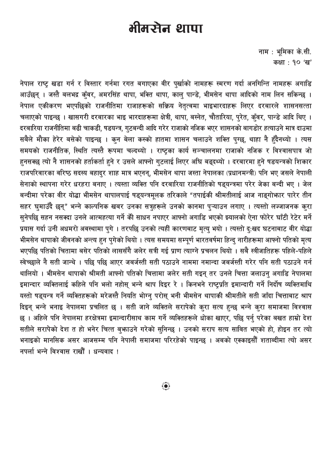# मीमर्सन थापा

नाम: भूमिका के.सी. कक्षा: १० 'ख'

नेपाल राष्ट्र खडा गर्न र विस्तार गर्नमा रगत बगाएका वीर पुर्खाको नामहरू स्मरण गर्दा अनगिन्ति नामहरू अगाडि आउँछन् । जस्तै बलभद्र कँवर, अमरसिंह थापा, भक्ति थापा, काल पान्डे, भीमसेन थापा आदिको नाम लिन सकिन्छ । नेपाल एकीकरण भएपछिको राजनीतिमा राजाहरूको सक्रिय नेतृत्वमा भाइभारदाहरू लिएर दरबारले शासनसत्ता चलाएको पाइन्छ । खासगरी दरबारका भाइ भारदाहरूमा क्षेत्री, थापा, बस्नेत, चौतारिया, पुरेत, कुँवर, पान्डे आदि थिए । दरबारिया राजनीतिमा बढी चाकडी, षडयन्त्र, गुटबन्दी आदि गरेर राजाको नजिक भएर शासनको बागडोर हत्याउने मात्र दाउमा सबैले मौका हेरेर बसेको पाइन्छ । कुन बेला कस्को हातमा शासन चलाउने शक्ति पुग्छ, थाहा नै हुँदैनथ्यो । त्यस समयको राजनीतिक, स्थिति त्यस्तै रूपमा चल्दथ्यो । राष्ट्रका कार्य सञ्चालनमा राजाको नजिक र विश्वासपात्र जो हनसक्छ त्यो नै शासनको हर्ताकर्ता हुने र उसले आफ्नो गुटलाई लिएर अघि बढ्दथ्यो । दरबारमा हुने षडयन्त्रको शिकार राजपरिवारका वरिष्ठ सदस्य बहादुर शाह मात्र भएनन्, भीमसेन थापा जस्ता नेपालका (प्रधानमन्त्री) पनि भए जसले नेपाली सेनाको स्थापना गरेर धरहरा बनाए । त्यस्ता व्यक्ति पनि दरबारिया राजनीतिको षड्यन्त्रमा परेर जेका बन्दी भए । जेल बन्दीमा परेका वीर योद्धा भीमसेन थापालपाई षड्यन्त्रमूलक तरिकाले "तपाईकी श्रीमतीलाई आज नाङ्गोफ़ार पारेर तीन सहर घुमाउँदै छुन्" भन्ने काल्पनिक खबर उनका सत्रुहरूले उनको कानमा प्ऱ्याउन लगाए । त्यस्तो लज्जाजनक क्रा सनेपछि सहन नसक्दा उनले आत्महत्या गर्ने की साधन नपाएर आफ्नो अगाडि भएको झ्यालको ऐना फोरेर घाँटी रेटेर मर्ने प्रयास गर्दा उनी अधमरो अवस्थामा पगे । तरपछि उनको त्यहीं कारणबाट मत्य भयो । त्यस्तो द:खद घटनाबाट वीर योद्धा भीमसेन थापाको जीवनको अन्त्य हुन पुगेको थियो । त्यस समयमा सम्पूर्ण भारतवर्षमा हिन्दु नारीहरूमा आफ्नो पतिको मृत्य भएपछि पतिको चितामा बसेर पतिको लाससँगै जलेर सत्री गई प्राण त्याग्ने प्रचलन थियो । सबै स्त्रीजातिहरू पहिले-पहिले स्वेच्छाले नै सती जान्थे । पछि पछि आएर जबर्जस्ती सती पठाउने नाममा नमान्दा जबर्जस्ती गरेर पनि सती पठाउने गर्न थालियो । भीमसेन थापाको श्रीमती आफ्नो पतिको चित्तामा जलेर सती गइन् तर उनले चित्ता जलाउन् अगाडि नेपालमा इमान्दार व्यक्तिलाई कहिले पनि भलो नहोस भन्ने श्राप दिइर रे । किनभने राष्टप्रति इमान्दारी गर्ने निर्दोष व्यक्तिमाथि यस्तो षड्यन्त्र गर्ने व्यक्तिहरूको मरेजस्तै नियति भोग्नु परोस् भनी भीमसेन थापाकी श्रीमतीले सती जाँदा चित्ताबाट श्राप दिइन् भन्ने भनाइ नेपालमा प्रचलित छ । सती जाने व्यक्तिले सरापेको कुरा सत्य हुन्छ भन्ने कुरा समाजमा विश्वास छ । अहिले पनि नेपालमा हरक्षेत्रमा इमान्दारीसाथ काम गर्ने व्यक्तिहरूले धोका खाएर, पछि पर्न् परेका बखत हाम्रो देश सतीले सरापेको देश त हो भनेर चित्त बुफाउने गरेको सुनिन्छ । उनको सराप सत्य सावित भएको हो, होइन तर त्यो भनाइको मानसिक असर आजसम्म पनि नेपाली समाजमा परिरहेको पाइन्छ । अबको एक्काइसौँ शताब्दीमा त्यो असर नपर्ला भन्ने विश्वास राखौँ । धन्यवाद ।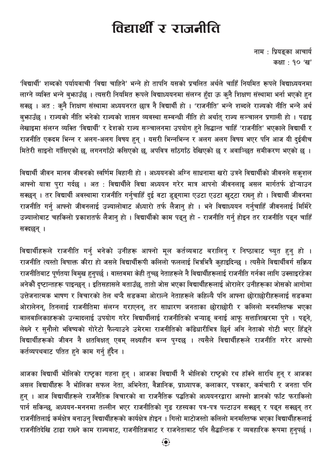# विद्यार्थी र राजनीति

नाम : प्रियङ्का आचार्य कक्षा: १० 'ख'

'विद्यार्थी' शब्दको पर्यायवाची 'विद्या चाहिने' भन्ने हो तापनि यसको प्रचलित अर्थले चाहिँ नियमित रूपले विद्याध्ययनमा लाग्ने व्यक्ति भन्ने बुफाउँछ । त्यसरी नियमित रूपले विद्याध्ययनमा संलग्न हुँदा ऊ कुनै शिक्षण संस्थामा भर्ना भएको हुन सक्छ । अत : कुनै शिक्षण संस्थामा अध्ययनरत छात्र नै विद्यार्थी हो । 'राजनीति' भन्ने शब्दले राज्यको नीति भन्ने अर्थ बुफ़ाउँछ । राज्यको नीति भनेको राज्यको शासन व्यवस्था सम्बन्धी नीति हो अर्थात् राज्य सञ्चालन प्रणाली हो । पढाइ लेखाइमा संलग्न व्यक्ति 'विद्यार्थी' र देशको राज्य सञ्चालनमा उपयोग हुने सिद्धान्त चाहिँ 'राजनीति' भएकाले विद्यार्थी र राजनीति एकदम भिन्न र अलग-अलग विषय हुन् । यसरी भिन्नभिन्न र अलग अलग विषय भएर पनि आज यी दईबीच मितेरी साइनो गाँसिएको छ, लगनगाँठो कसिएको छ, अपवित्र साँठगाँठ देखिएको छ र अवाञ्छित समीकरण भएको छ ।

विद्यार्थी जीवन मानव जीवनको स्वर्णिम बिहानी हो । अध्ययनको अग्नि साधनामा खरो उत्रने विद्यार्थीको जीवनले सक्शल आफ्नो यात्रा पुरा गर्दछ । अत : विद्यार्थीले विद्या अध्ययन गरेर मात्र आपनो जीवनलाइ असल मार्गतर्फ डोऱ्याउन सक्छन् । तर विद्यार्थी अवस्थामा राजनीति गर्नुचाहिँ दुई वटा डुङ्गामा एउटा एउटा खुट्टा राख्नु हो । विद्यार्थी जीवनमा राजनीति गर्न् आफ्नो जीवनलाई उज्यालोबाट अँध्यारो तर्फ लैजान् हो । भने विद्याध्ययन गर्नुचाहिँ जीवनलाई मिर्मिरे उज्यालोबाट चहकिलो प्रकाशतर्फ लैजान हो । विद्यार्थीको काम पढन हो - राजनीति गर्न होइन तर राजनीति पढन चाहिँ सक्दछन् ।

विद्यार्थीहरूले राजनीति गर्न् भनेको उनीहरू आफ्नो मूल कर्तव्यबाट बरालिन् र निष्ठाबाट च्युत हुन् हो । राजनीति त्यस्तो विषाक्त कीरा हो जसले विद्यार्थीरूपी कलिलो फललाई भित्रभित्रै कुहाइदिन्छ । त्यसैले विद्यार्थीवर्ग सक्रिय राजनीतिबाट पुर्णतया विमुख हनुपर्छ । वास्तवमा केही तुच्छ नेताहरूले नै विद्यार्थीहरूलाई राजनीति गर्नका लागि उक्साइरहेका अनेकौं दष्टान्तहरू पाइन्छन । इतिसहासले बताउँछ. तातो जोस भएका विद्यार्थीहरूलाई ओरालेर उनीहरूका जोसको आगोमा उत्तेजनात्मक भाषण र विचारको तेल थप्दै सडकमा ओराल्ने नेताहरूले कहिल्यै पनि आफ्ना छोराछोरीहरूलाई सडकमा ओरालेनन्, तिनलाई राजनीतिमा संलग्न गराएनन्, तर साधारण जनताका छोराछोरी र कलिलो मनमस्तिष्क भएका बालबालिकाहरूको उन्मादलाई उपयोग गरेर विद्यार्थीलाई राजनीतिको भऱ्याङ् बनाई आफू सत्ताशिखरमा पुगे । पढ्ने, लेख्ने र सनौलो भविष्यको गोरेटो फैल्याउने उमेरमा राजनीतिको काँढेधारीभित्र छिर्न अनि नेताको गोटी भएर हिँडुने विद्यार्थीहरूको जीवन नै क्षतविक्षत् एवम् लक्ष्यहीन बन्न पुग्दछ । त्यसैले विद्यार्थीहरूले राजनीति गरेर आफ्नो कर्तव्यपथबाट पतित हने काम गर्न हँदैन ।

आजका विद्यार्थी भोलिको राष्ट्रका गहना हुन् । आजका विद्यार्थी नै भोलिको राष्ट्रको रथ हाँक्ने सारथि हुन् र आजका असल विद्यार्थीहरू नै भोलिका सफल नेता, अभिनेता, वैज्ञानिक, प्राध्यापक, कलाकार, पत्रकार, कर्मचारी र जनता पनि हुन् । आज विद्यार्थीहरूले राजनैतिक विचारको वा राजनैतिक पद्धतिको अध्ययनरद्वारा आफ्नो ज्ञानको फाँट फराकिलो पार्न सकिन्छ, अध्ययन-मननमा तल्लीन भएर राजनीतिको गुढ रहस्यका पत्र-पत्र पल्टाउन सक्छन् र पढ्न सक्छन् तर राजनीतिलाई कर्मक्षेत्र बनाउन विद्यार्थीहरूको कार्यक्षेत्र होइन । गिलो माटोजस्तो कलिलो मनमस्तिष्क भएका विद्यार्थीहरूलाई राजनीतिदेखि टाढा राख्ने काम राज्यबाट, राजनीतिज्ञबाट र राजनेताबाट पनि सैद्धान्तिक र व्यवहारिक रूपमा हुनुपर्छ ।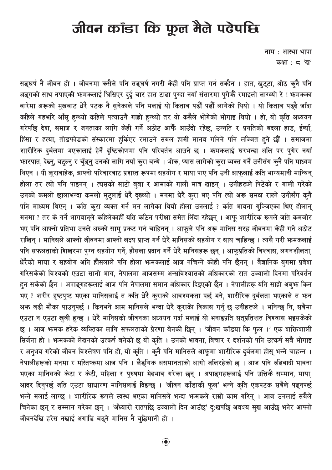# जीवन कॉडा कि फूल मैले पढेपछि

नाम: आस्था थापा कक्षा:  $\varsigma$  'ख'

सङ्घर्ष नै जीवन हो । जीवनमा कसैले पनि सङ्घर्ष नगरी केही पनि प्राप्त गर्न सक्दैन । हात, खुट्टा, ओठ क्नै पनि अङ्गको साथ नपाएकी भनमकलाई घिसिएर दुई चार हात टाढा पुग्दा नयाँ संसारमा पुगेभैँ रमाइलो लाग्थ्यो रे ! भनमकका बारेमा अरूको मुखबाट धेरै पटक नै सुनेकाले पनि मलाई यो किताब पढौँ पढौँ लागेको थियो । यो किताब पढ्दै जाँदा कहिले गहभरि आँसु हुन्थ्यो कहिले पत्याउनै गाह्रो हुन्थ्यो तर यो कसैले भोगेको भोगाइ थियो । हो, यो कृति अध्ययन गरेपछि देश, समाज र जनताका लागि केही गर्ने अठोट आफैँ आउँदो रहेछ, उन्नति र प्रगतिको बदला हाड, ईर्ष्या, हिंसा र हत्या, तोडफोडको संस्कारमा हुर्किएर रमाउने सबल हामी मानव गनिने पनि लज्जित हुने छौँ । समाजमा शारीरिक दर्बलमा भएकालाई हेर्ने दृष्टिकोणमा पनि परिवर्तन आउने छ । भन्मकलाई घरभन्दा अलि पर पुगेर नयाँ भारपात, देख्नु, बट्ल्नु र चुँड्नु उनको लागि नयाँ कुरा बन्थे । भोक, प्यास लागेको कुरा व्यक्त गर्ने उनीसँग कुनै पनि माध्यम थिएन । यी कुराबाहेक, आफ्नो परिवारबाट प्रशस्त रूपमा सहयोग र माया पाए पनि उनी आफूलाई कति भाग्यमानी मान्थिन् होला तर त्यो पनि पाइनन् । त्यसको साटो ब्बा र आमाको गाली मात्र खाइन् । उनीहरूले पिटेको र गाली गरेको उनको कमलो छालाभन्दा कमलो मुटुलाई धेरै दुख्थ्यो । मनमा धेरै कुरा भए पनि त्यो अरू समक्ष राख्ने उनीसँग कुनै पनि माध्यम थिएन् । कति क्रा व्यक्त गर्न मन लागेका थियो होला उनलाई ? कति भावना गुञ्जिएका थिए होलान् मनमा ? तर के गर्ने भागवानले कहिलेकाहीँ यति कठिन परीक्षा समेत लिँदा रहेछन । आफ शारीरिक रूपले जति कमजोर भए पनि आफ्नो प्रतिभा उनले अरुको साम प्रकट गर्न चाहिनन् । आफले पनि अरू मानिस सरह जीवनमा केही गर्ने अठोट राखिन् । मानिसले आफ्नो जीवनमा आफ्नो लक्ष्य प्राप्त गर्न धेरै मानिसको सहयोग र साथ चाहिन्छ । त्यसै गरी भन्मकलाई पनि सफलताको शिखरमा पुग्न सहयोग गर्ने, हौसला प्रदान गर्ने धेरै मानिसहरू छन् । आफूप्रतिको विश्वास, लगनशीलता, धेरैको माया र सहयोग अनि हौसलाले पनि होला भन्मकलाई आज नचिन्ने कोही पनि छैनन् । वैज्ञानिक युगमा प्रवेश गरिसकेको विश्वको एउटा सानो भाग, नेपालमा आजसम्म अन्धविश्वासको अधिकारको रात उज्यालो दिनमा परिवर्तन हन सकेको छैन । अपाङगहरूलाई आज पनि नेपालमा समान अधिकार दिइएको छैन । नेपालीहरू यति साह्रो अबभ्रु किन भए ? शरीर हष्टपष्ट भएका मानिसलाई त कति धेरै कराको आवश्यकता पर्छ भने, शारीरिक दर्बलता भएकाले त भन अफ बढी मौका पाउन्पर्छ । किनभने आम मानिसले भन्दा धेरै कुराकेा विकास गर्नु छ उनीहरूले । भनिन्छ नि, सबैमा एउटा न एउटा खुबी हुन्छ । धेरै मानिसको जीवनका अध्ययन गर्दा मलाई यो भनाइप्रति सतुप्रतिशत विश्वास भइसकेको छ । आज भनमक हरेक व्यक्तिका लागि सफलताको प्रेरणा बेनकी छिन् । 'जीवन काँडया कि फल ।' एक शक्तिशाली सिर्जना हो । भनमकको लेखनको उत्कर्ष बनेको छ यो कृति । उनको भावना, विचार र दर्शनको पनि उत्कर्ष सबै भोगाइ र अनुभव गरेको जीवन विश्लेषण पनि हो, यो कृति । कुनै पनि मानिसले आफूमा शारीरिक दुर्बलमा होस् भन्ने चाहन्न । नेपालीहरूको मनमा र मस्तिष्कमा आज पनि । लैङ्गिक असमानताको आगो जलिरहेको छ । आज पनि रुढिवादी भावना भएका मानिसको केटा र केटी, महिला र पुरुषमा भेदभाव गरेका छन् । अपाङ्गहरूलाई पनि उत्तिकै सम्मान, माया, आदर दिन्पर्छ जति एउटा साधारण मानिसलाई दिइन्छ । 'जीवन काँडाकी फूल' भन्ने कृति एकपटक सबैले पढ्नपर्छ भन्ने मलाई लाग्छ । शारीरिक रूपले स्वस्थ भएका मानिसले भन्दा भन्मकले राम्रो काम गरिन् । आज उनलाई सबैले चिनेका छन् र सम्मान गरेका छन् । 'अँध्यारो रातपछि उज्यालो दिन आउँछ' द:खपछि अवश्य सख आउँछ भनेर आफ्नो जीवनदेखि हरेस नखाई अगाडि बढने मानिस नै बद्धिमानी हो ।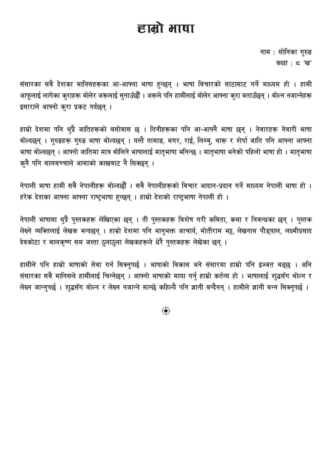# हाम्रो भाषा

नाम : सोनिका गुरुङ कक्षा:  $\leq$  'ख'

संसारका सबै देशका मानिसहरूका आ-आफ्ना भाषा हुन्छन् । भाषा विचारको साटासाट गर्ने माध्यम हो । हामी आफूलाई लागेका कुराहरू बोलेर अरूलाई सुनाउँछौँ । अरूले पनि हामीलाई बोलेर आफ्ना कुरा बताउँछन् । बोल्न नजान्नेहरू इसाराले आफ्नो कुरा प्रकट गर्दछन् ।

हाम्रो देशमा पनि थुप्रै जातिहरूको बसोबास छ । तिनीहरूका पनि आ-आफ्नै भाषा छन् । नेवारहरू नेवारी भाषा बोल्दछन् । गुरुङहरू गुरुङ भाषा बोल्दछन् । यस्तै तामाङ, मगर, राई, लिम्ब्, थारू र शेर्पा जाति पनि आफ्ना आफ्ना भाषा बोल्दछन् । आफ्नो जातिमा मात्र बोलिने भाषालाई मातृभाषा भनिन्छ । मातृभाषा भनेको पहिलो भाषा हो । मातृभाषा कनै पनि बालबच्चाले आमाको काखबाट नै सिक्छन् ।

नेपाली भाषा हामी सबै नेपालीहरू बोल्दछौँ । सबै नेपालीहरूको विचार आदान-प्रदान गर्ने माध्यम नेपाली भाषा हो । हरेक देशका आफ्ना आफ्ना राष्ट्रभाषा हुन्छन् । हाम्रो देशको राष्ट्रभाषा नेपाली हो ।

नेपाली भाषामा थुप्रै पुस्तकहरू लेखिएका छन् । ती पुस्तकहरू विशेष गरी कविता, कथा र निबन्धका छन् । पुस्तक लेख्ने व्यक्तिलाई लेखक भन्दछन् । हाम्रो देशमा पनि भानुभक्त आचार्य, मोतीराम भट्ट, लेखनाथ पौड्याल, लक्ष्मीप्रसाद देवकोटा र बालकष्ण सम जस्ता ठलाठला लेखकहरूले धेरै पस्तकहरू लेखेका छन् ।

हामीले पनि हाम्रो भाषाको सेवा गर्न सिक्नुपर्छ । भाषाको विकास भने संसारमा हाम्रो पनि इज्जत बढ्छ । अनि संसारका सबै मानिसले हामीलाई चिन्नेछन् । आफ्नो भाषाको माया गर्नु हाम्रो कर्तव्य हो । भाषालाई शुद्धसँग बोल्न र लेख्न जान्नुपर्छ । शुद्धसँग बोल्न र लेख्न नजान्ने मान्छे कहिल्यै पनि ज्ञानी बन्दैनन् । हामीले ज्ञानी बन्न सिक्नुपर्छ ।

 $\ddot{\bullet}$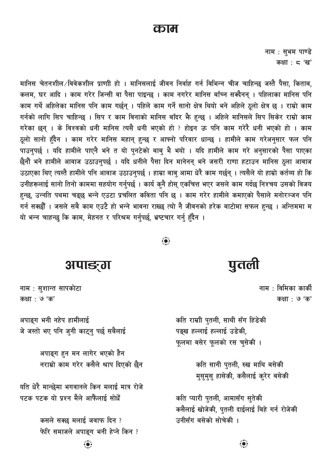#### काम

नाम: सुभम पाण्डे कक्षा:  $5'$ ख'

मानिस चेतनशील /विवेकशील प्राणाी हो । मानिसलाई जीवन निर्वाह गर्न विभिन्न चीज चाहिन्छ जस्तै पैसा, किताब, कलम, घर आदि । काम गरेर जिन्सी वा पैसा पाइन्छ । काम नगरेर मानिस बाँच्न सक्दैनन् । पहिलाका मानिस पनि काम गर्थे अहिलेका मानिस पनि काम गर्छन् । पहिले काम गर्ने सानो क्षेत्र थियो भने अहिले ठूलो क्षेत्र छ । राम्रो काम गर्नको लागि सिप चाहिन्छ । सिप र काम विनाको मानिस बाँदर भैे हुन्छ । अहिले मानिसले सिप सिकेर राम्रो काम गरेका छन् । के विश्वको धनी मानिस त्यसै धनी भएको हो ? होइन ऊ पनि काम गरेरै धनी भएको हो । काम ठूलो सानो हुँदैन । काम गरेर मानिस महान् हुन्छ र आफ्नो परिवार धान्छ । हामीले काम गरेअनुसार फल पनि पाउनुपर्छ । यदि हामीले पाएनै भने त यो पुनटेको बाबु भै भयो । यदि हामीले काम गरे अनुसारको पैसा पाएका छैनौं भने हामीले आवाज उठाउनुपर्छ । यदि धनीले पैसा दिन मानेनन् भने जसरी राणा हटाउन मानिस ठुला आवाज उठाएका थिए त्यस्तै हामीले पनि आवाज उठाउनुपर्छ । हाम्रा बाबु आमा धेरै काम गर्छन् । त्यसैले यो हाम्रो कर्तव्य हो कि उनीहरूलाई सानो तिनो काममा सहयोग गर्नुपर्छ । कार्य कुनै होस् एकचित्त भएर जसले काम गर्दछ निश्चय उसको विजय हुन्छ, उन्नति पथमा चढ्छ भन्ने एउटा प्रचलित कविता पनि छ । काम गरेर हामीले कमाएको पैसाले मनोरञ्जन पनि गर्न सक्छौँ । जसले सबै काम एउटै हो भन्ने भावना राख्छ त्यो नै जीवनको हरेक बाटोमा सफल हुन्छ । अन्तिममा म यो भन्न चाहन्छ कि काम, मेहनत र परिश्रम गर्नुपर्छ, भ्रष्टचार गर्नु हुँदैन ।

#### अपाङ्ग

नाम : सुशान्त सापकोटा कक्षा : ७ 'क'

अपाङ्ग भनी नहेप हामीलाई जे जस्तो भए पनि जुनी काट्नु पर्छ सबैलाई

> अपाङ्ग हन मन लागेर भएको हैन नराम्रो काम गरेर कसैले श्राप दिएको छैन

यति धेरै मान्छेमा भगवानले किन मलाई मात्र रोजे पटक पटक यो प्रश्न मैले आफैंलाई सोधैँ

> कसले सक्छ मलाई जवाफ दिन ? फेरि समाजले अपाङ्ग भनी हेप्ने किन ?

पुतली

नाम $\pm$  विमिका कार्की कक्षा : ७ 'क'

कति राम्राी पुतली, साथी सँग हिंडेकी पङ्ख हल्लाई हल्लाई उडेकी, फूलमा बसेर फूलको रस चुसेकी ।

> कति सानी प्तली, रुख माथि बसेकी मसमस हासेकी, कसैलाई क्रेर बसेकी

कति प्यारी पुतली, आमासँग सुतेकी कसैलाई खोजेकी, पुतली दाईलाई बिहे गर्न रोजेकी उनीसँग बसेको सोचेकी ।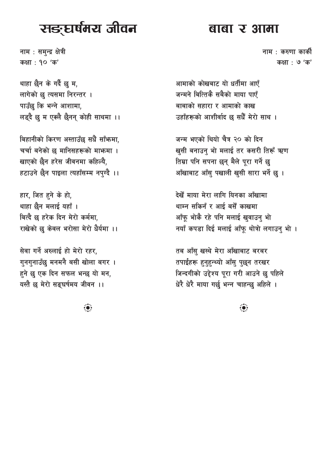# सङ्घर्षमय जीवन

नाम : सम्न्द्र क्षेत्री कक्षा: १० 'क'

थाहा छैन के गर्दै छु म, लागेको छ त्यसमा निरन्तर । पाउँछु कि भन्ने आशामा, लड्दै छ म एक्लै छैनन् कोही साथमा ।।

बिहानीको किरण अस्ताउँछ सधैँ साँफमा, चर्चा बनेको छ मानिसहरूको माफमा । खाएको छैन हरेस जीवनमा कहिल्यै. हटाउने छैन पाइला त्यहाँसम्म नप्ग्दै ।।

हार, जित हुने के हो, थाहा छैन मलाई यहाँ । बित्दै छ हरेक दिन मेरो कर्ममा. राखेको छ केवल भरोसा मेरो धैर्यमा ।।

सेवा गर्ने अरुलाई हो मेरो रहर, गनगनाउँछ मनमनै बसी खोला बगर। हने छु एक दिन सफल भन्छ यो मन, यस्तै छ मेरो सङघर्षमय जीवन ।।

बाबा र आमा

नाम : करुणा कार्की कक्षा : **७** 'क'

आमाको कोखबाट यो धर्तीमा आएँ जन्मने बित्तिकै सबैको माया पाएँ बाबाको सहारा र आमाको काख उहाँहरूको आशीर्वाद छ सधैँ मेरो साथ ।

जन्म भएको थियो चैत्र २० को दिन खुसी बनाउन भो मलाई तर कसरी तिरूँ ऋण तिम्रा पनि सपना छन् मैले पुरा गर्ने छ आँखाबाट आँस् पखाली खुसी सारा भर्ने छ ।

देखेँ माया मेरा लागि यिनका आँखामा थाम्न सकिनँ र आई बसैं काखमा आँफ भोकै रहे पनि मलाई खवाउन भो नयाँ कपड़ा दिई मलाई आँफ थोत्रो लगाउन भो ।

तब आँस खस्थे मेरा आँखाबाट बरबर तपाईंहरू हनहन्थ्यो आँस पछन तरखर जिन्दगीको उद्देश्य पुरा गरी आउने छ पहिले धेरै धेरै माया गर्छ भन्न चाहन्छ अहिले ।

 $\ddot{\bullet}$ 

 $\dddot{\bullet}$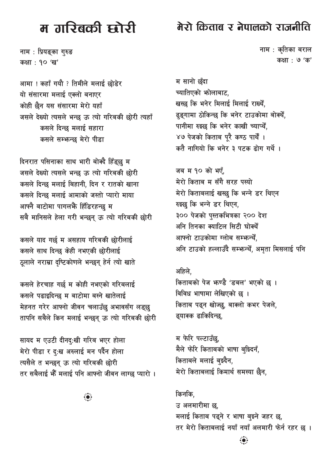# म तारिबकी म्बोरी

नाम : प्रियङ्का गुरुङ कक्षा : १० 'ख'

आमा ! कहाँ गयौ ? तिमीले मलाई छोडेर यो संसारमा मलाई एक्लो बनाएर कोही छैन यस संसारमा मेरो यहाँ जसले देख्यो त्यसले भन्छ ऊ त्यो गरिबकी छोरी त्यहाँ कसले दिन्छ मलाई सहारा कसले सम्भन्छ मेरो पीडा

दिनरात पसिनाका साथ भारी बोक्दै हिँड्छु म जसले देख्यो त्यसले भन्छ ऊ त्यो गरिबकी छोरी कसले दिन्छ मलाई बिहानी. दिन र रातको खाना कसले दिन्छ मलाई आमाको जस्तो प्यारो माया आफ्नै बाटोमा पागलफैं हिँडिरहन्छ म सबै मानिसले हेला गरी भन्छन् ऊ त्यो गरिबकी छोरी

कसले याद गर्छ म असहाय गरिबकी छोरीलाई कसले साथ दिन्छ केही नभएकी छोरीलाई ठूलाले नराम्रा दृष्टिकोणले भन्छन् हेर्न त्यो खाते

कसले हेरचाह गर्छ म कोही नभएको गरिबलाई कसले पढाइदिन्छ म बाटोमा बस्ने खातेलाई मेहनत गरेर आफ्नो जीवन चलाउँछु अभावसँग लड्छु तापनि सबैले किन मलाई भन्छन् ऊ त्यो गरिबकी छोरी

सायद म एउटी दीनदु:खी गरिब भएर होला मेरो पीडा र दुःख अरुलाई मन पर्दैन होला त्यसैले त भन्छन् ऊ त्यो गरिबकी छोरी तर सबैलाई भेँँ मलाई पनि आफ्नो जीवन लाग्छ प्यारो ।

 $\ddot{\bullet}$ 

### मेरो किताब र नेपालको राजनीति

नाम : कृतिका बराल कक्षा : ७ 'क'

म सानो छँदा च्यातिएको फोलाबाट. खस्छ कि भनेर मिलाई मिलाई राख्येँ, ढ्ङ्गामा ठोकिन्छ कि भनेर टाउकोमा बोक्यैं, पानीमा रुझ्छ कि भनेर काखी च्याप्थें, ४७ पेजको किताब पुरै कण्ठ पार्थें । कतै नागियो कि भनेर ३ पटक ढोग गर्थे ।

जब म १० को भएँ, मेरो किताब म सँगै सरह पस्यो मेरो किताबलाई खस्छ कि भन्ने डर थिएन रुझ्लु कि भन्ने डर थिएन, ३०० पेजको पुस्तकभित्रका २०० देश अनि तिनका क्याटिल सिटी घोक्थैं आफ्नो टाउकोमा ग्लोब सम्फर्न्थैं, अनि टाउको हल्लाउँदै सम्फन्थैं, अमृता मिसलाई पनि

अहिले, किताबको पेज भग्ण्डै 'डबल' भएको छ । विविध भाषामा लेखिएको छ । किताब पढ्न खोज्छ, बाक्लो कभर पेजले, ढ्याक्क ढाकिदिन्छ,

म फेरि पल्टाउँछ, मैले फेरि किताबको भाषा बुझ्दिनँ, किताबले मलाई बस्दैन, मेरो किताबलाई किमार्थ समस्या छैन.

किनकि. उ अलमारीमा छ, मलाई किताब पढ्ने र भाषा बुझ्ने जहर छ, तर मेरो किताबलाई नयाँ नयाँ अलमारी फेर्न रहर छ ।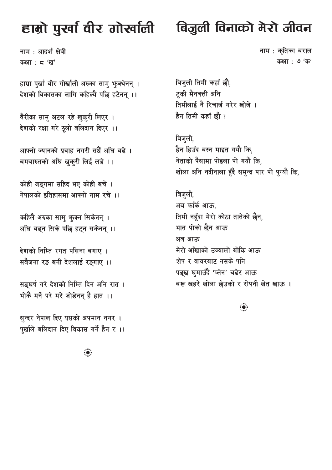# हाम्रो पुर्खा वीर गोर्खाली

नाम : आदर्श क्षेत्री कक्षा:  $5'$ ख'

हाम्रा पुर्खा वीर गोर्खाली अरुका सामु फुक्थेनन् । देशको विकासका लागि कहिल्यै पछि हटेनन् ।।

वैरीका सामु अटल रहे खुकुरी लिएर । देशको रक्षा गरे ठूलो बलिदान दिएर ।।

आफ्नो ज्यानको प्रवाह नगरी सधैँ अघि बढे । बमबारुतको अघि खुक्री लिई लडे ।।

कोही जङ्गमा सहिद भए कोही बचे । नेपालको इतिहासमा आफ्नो नाम रचे ।।

कहिलै अरुका साम् भूक्न सिकेनन् । अघि बढन सिके पछि हटन सकेनन् ।।

देशको निम्ति रगत पसिना बगाए । सबैजना रङ बनी देशलाई रङ्गाए ।।

सङघर्ष गरे देशको निम्ति दिन अनि रात । भोकै मर्ने परे मरे जोडेनन है हात ।।

सुन्दर नेपाल दिए यसको अपमान नगर । पर्खाले बलिदान दिए विकास गर्ने हैन र ।।

 $\ddot{\bullet}$ 

# बिजुली विनाको मेरो जीवन

नाम : कृतिका बराल कक्षा : **७** 'क'

बिजुली तिमी कहाँ छौ, ट्की मैनवत्ती अनि तिमीलाई नै रिचार्ज गरेर खोजे । हैन तिमी कहाँ छौ ?

बिज्ली, हैन हिउँद बस्न माइत गयौ कि, नेताको पैसामा पोइला पो गयौं कि, खोला अनि नदीनाला हँदै सम्न्द्र पार पो प्ग्यौ कि,

बिजुली, अब फर्कि आऊ, तिमी नहँदा मेरो कोठा तातेको छैन, भात पोको छैन आऊ अब आऊ मेरो आँखाको उज्यालो बोकि आऊ शेप र वायरबाट नसके पनि पङ्ख घमाउँदै 'प्लेन' चढेर आऊ बरू खहरे खोला छेउको र रोपनी खेत खाऊ।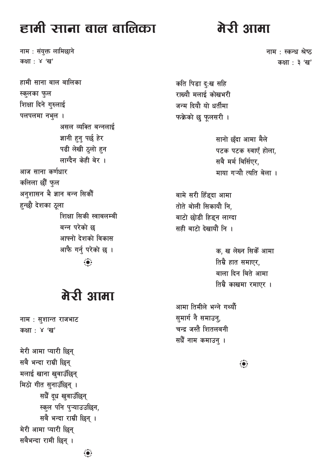# हामी साना बाल बालिका

नाम : संयुक्त लामिछाने कक्षा : ४ 'ख'

हामी साना बाल बालिका स्कुलका फुल शिक्षा दिने गुरुलाई पलपलमा नभूल । असल व्यक्ति बन्नलाई ज्ञानी हुन पर्छ हेर पढी लेखी ठूलो हन लाग्दैन केही बेर । आज साना कर्णधार कलिला छौं फल अनुशासन भै ज्ञान बन्न सिकौं हन्छौ देशका ठुला शिक्षा सिकी स्वाबलम्बी बन्न परेको छ आफ्नो देशको विकास आफै गर्नु परेको छ ।  $\ddot{\bullet}$ 

# मेरी आमा

नाम : सुशान्त राजभाट कक्षा : ४ 'ख'

मेरी आमा प्यारी छिन् सबै भन्दा राम्री छिन् मलाई खाना खुवाउँछिन् मिठो गीत सुनाउँछिन् । सधैँ दूध खुवाउँछिन् स्कूल पनि प्ऱ्याउउछिन, सबै भन्दा राम्री छिन्। मेरी आमा प्यारी छिन् सबैभन्दा रामी छिन् ।

# मेरी आमा

नाम : स्कन्ध श्रेष्ठ कक्षा : ३ 'ख'

कति पिडा दृ:ख सहि राख्यौ मलाई कोखभरी जन्म दियौ यो धर्तीमा फक्रेको छु फूलसरी ।

> सानो छँदा आमा मैले पटक पटक रुवाएँ होला, सबै मर्म बिर्सिएर. माया गऱ्यौ त्यति बेला ।

बामे सरी हिँड्दा आमा तोते बोली सिकायौ नि, बाटो छोडी हिडन लाग्दा सही बाटो देखायौं नि ।

> क, ख लेख्न सिकेँ आमा तिम्रै हात समाएर. बाला दिन बिते आमा तिम्रै काखमा रमाएर ।

आमा तिमीले भन्ने गर्थ्यौ समार्ग नै समाउन, चन्द्र जस्तै शितलबनी सधैँ नाम कमाउन् ।

 $\ddot{\bullet}$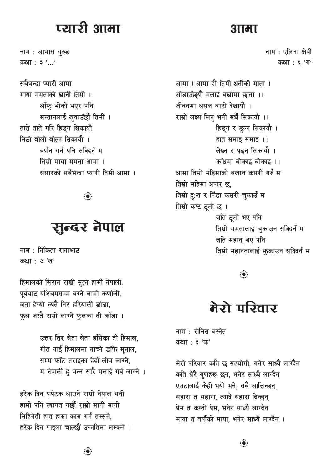# प्त्यारी आमा

नाम : आभास गुरुङ कक्षा : ३ '...'

सबैभन्दा प्यारी आमा माया ममताको खानी तिमी । आँफू भोको भएर पनि सन्तानलाई खुवाउँछौ तिमी । ताते ताते गरि हिड्न सिकायौ मिठो बोली बोल्न सिकायौ । वर्णन गर्न पनि सक्टिनँ म तिम्रो माया ममता आमा । संसारको सबैभन्दा प्यारी तिमी आमा ।

## सुन्दर नेपाल

नाम : निकिता रानाभाट कक्षा : ७ 'ख'

हिमालको सिरान राखी सुत्ने हामी नेपाली, पूर्वबाट पश्चिमसम्म बग्ने लामो कर्णाली, जता हेऱ्यो त्यतै तिर हरियाली डाँडा. फल जस्तै राम्रो लाग्ने फलका ती काँडा ।

> उत्तर तिर सेता सेता हाँसेका ती हिमाल, गीत गाई हिमालमा नाच्ने डाँफे मुनाल, सम्म फाँट तराइका हेर्दा लोभ लाग्ने. म नेपाली हँ भन्न सारै मलाई गर्व लाग्ने ।

हरेक दिन पर्यटक आउने राम्रो नेपाल भनी हामी पनि स्वागत गर्छौ राम्रो मानी मानी मिहिनेती हात हाम्रा काम गर्न तम्सने. हरेक दिन पाइला चाल्छौँ उन्नतिमा लम्कने ।

आमा ! आमा हौ तिमी धर्तीकी माता । ओडाउँछुयौ मलाई बर्खामा छाता ।। जीवनमा असल बाटो देखायौ । राम्रो लक्ष्य लिन् भनी सधैँ सिकायौ ।। हिड्न र ड्ल्न सिकायौ । हात समाइ समाइ ।। लेख्न र पढ़न सिकायौ । काँधमा बोकाइ बोकाइ ।। आमा तिम्रो महिमाको बखान कसरी गरुँ म तिम्रो महिमा अपार छ. तिम्रो दृ:ख र पिँडा कसरी चुकाउँ म तिम्रो कष्ट ठूलो छ । जति ठलो भए पनि तिम्रो ममतालाई चुकाउन सक्दिनँ म जति महान् भए पनि तिम्रो महानतालाई भूकाउन सक्दिनँ म

#### $\ddot{\bullet}$

# मेरो परिवार

नाम $:$  रोनिस बस्नेत कक्षा: ३ 'क'

मेरो परिवार कति छ सहयोगी, गनेर साध्यै लाग्दैन कति धेरै गुणहरू छन, भनेर साध्यै लाग्दैन एउटालाई केही भयो भने. सबै आत्तिन्छन् सहारा त सहारा, ज्यादै सहारा दिन्छन् प्रेम त कस्तो प्रेम. भनेर साध्यै लाग्दैन माया त वर्षौको माया. भनेर साध्यै लाग्दैन ।

#### आमा

नाम : एलिना क्षेत्री कक्षा: ६ 'ग'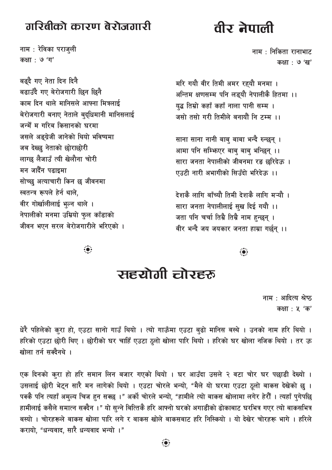#### गरिबीको कारण बेरोजगारी

नाम: रेविका पराजुली कक्षा : **७** 'ग'

बढ्दै गए नेता दिन दिनै बढाउँदै गए बेरोजगारी छिन छिनै काम दिन थाले मानिसले आफ्ना मित्रलाई बेरोजगारी बनाए नेताले बदधिमानी मानिसलाई जन्मेँ म गरिब किसानको घरमा जसले अङ्ग्रेजी जानेको थियो भविष्यमा जब देख्छ नेताको छोराछोरी लाग्छ लैजाउँ त्यी खेलौना चोरी मन जादैँन पढाइमा सोच्छ अत्याचारी किन छ जीवनमा स्वतन्त्र रूपले हेर्न थाले. वीर गोर्खालीलाई भुल्न थाले । नेपालीको मनमा उम्रियो फुल काँडाको जीवन भएन सरल बेरोजगारीले भरिएको ।

# वीर नेपाली

नाम : निकिता रानाभाट कक्षा : ७ 'ख'

मरि गयौ वीर तिमी अमर रहयौ मनमा । अन्तिम क्षणसम्म पनि लड़यौ नेपालीकै हितमा ।। यद्ध तिम्रो कहाँ कहाँ नाला पानी सम्म । जसो तसो गरी तिमीले बनायौं नि टम्म ।।

साना साना नानी बाबु बाबा भन्दै रुन्छन् । आमा पनि सम्भिएर बाब् बाब् भन्छिन् ।। सारा जनता नेपालीको जीवनमा रङ छरिदेऊ । एउटी नारी अभागीको सिउँदो भरिदेऊ ।।

देशकै लागि बाँच्यौ तिमी देशकै लागि मऱ्यौ । सारा जनता नेपालीलाई सुख दिई गयौ ।। जता पनि चर्चा तिम्रै तिम्रै नाम हन्छन । वीर भन्दै जय जयकार जनता हाम्रा गर्छन् ।।

 $\ddot{\bullet}$ 

 $\ddot{\bullet}$ 

# सहयोगी चोरहरू

नाम : आदित्य श्रेष्ठ कक्षा : **५** 'क'

धेरै पहिलेको करा हो, एउटा सानो गाउँ थियो । त्यो गाऊँमा एउटा बढो मानिस बस्थे । उनको नाम हरि थियो । हरिको एउटा छोरी थिए । छोरीको घर चाहिँ एउटा ठुलो खोला पारि थियो । हरिको घर खोला नजिक थियो । तर ऊ खोला तर्न सक्दैनथे ।

एक दिनको करा हो हरि समान लिन बजार गएको थियो । घर आउँदा उसले २ वटा चोर घर पछाडी देख्यो । उसलाई छोरी भेट्न सारै मन लागेको थियो । एउटा चोरले भन्यो, "मैले यो घरमा एउटा ठूलो बाकस देखेको छु । पक्कै पनि त्यहाँ अमुल्य चिज हन सक्छ ।" अर्को चोरले भन्यो, "हामीले त्यो बाकस खोलामा लगेर हेरौँ । त्यहाँ पुगेपछि हामीलाई कसैले समात्न सक्दैन ।" यो सन्ने बित्तिकै हरि आफ्नो घरको अगाडीको ढोकाबाट घरभित्र गएर त्यो बाकसभित्र बस्यो । चोरहरूले बाकस खोला पारि लगे र बाकस खोले बाकसबाट हरि निस्कियो । यो देखेर चोरहरू भागे । हरिले करायो, "धन्यवाद, सारै धन्यवाद भन्यो ।"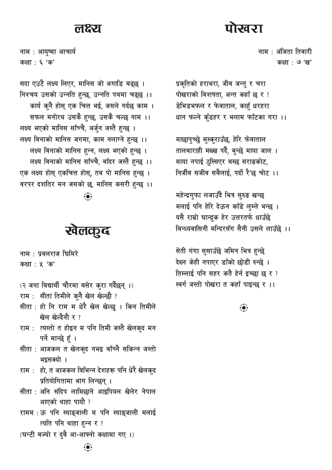#### लक्ष्य

नाम : आयुष्मा आचार्य कक्षा : ६ 'क'

सदा एउटै लक्ष्य लिएर, मानिस जो अगाडि बढ्छ । निश्चय उसको उन्नति हुन्छ, उन्नति पथमा चढ्छ ।। कार्य कुनै होस् एक चित्त भई, जसले गर्दछ काम । सफल मनोरथ उसकै हुन्छ, उसकै चल्छ नाम ।। लक्ष्य भएको मानिस साँच्चै, अर्जुन जस्तै हुन्छ । लक्ष्य विनाको मानिस जगमा, काम नलाग्ने हुन्छ ।। लक्ष्य विनाको मानिस हन्न, लक्ष्य भएको हन्छ । लक्ष्य विनाको मानिस साँच्चै, बाँदर जस्तै हुन्छ ।। एक लक्ष्य होस् एकचित्त होस्, तब पो मानिस हन्छ । वरपर दशतिर मन जसको छ, मानिस कसरी हुन्छ ।।

## खेलकूद

नाम : प्रवलराज घिमिरे

कक्षा : ५ 'क'

- (२ जना विद्यार्थी चौरमा बसेर करा गर्दैछन् ।)
- राम: सीता तिमीले कनै खेल खेल्छौ ?
- सीता : हो नि राम म धेरै खेल खेल्छ । किन तिमीले खेल खेल्दैनौ र ?
- राम : त्यस्तो त होइन म पनि तिमी जस्तै खेलकुद मन पर्ने मान्छे हैं ।
- सीता : आजकल त खेलकुद नभइ बाँच्नै सकिन्न जस्तो भइसक्यो ।
- राम : हो, त आजकल विभिन्न देशहरू पनि धेरै खेलकुद प्रतियोगितामा भाग लिन्छन् ।
- सीता : अनि संदिप लामिछाने आइपियल खेलेर नेपाल आएको थाहा पायौ ?
- रामम : ऊ पनि स्याङ्जाली म पनि स्याङ्जाली मलाई त्यति पनि थाहा हन्न र ?
- (घन्टी बज्यो र दुबै आ-आफ्नो कक्षामा गए ।)

चितञा

नाम : अंजिता तिवारी कक्षा : ७ 'ख'

प्रकृतिको हराभरा, जीव जन्तु र चरा पोखराको विशषता, अन्त कहाँ छ र ? डेभिडभफल र फेवाताल, काहुँ धरहरा धान फल्ने कुँडहर र भलाम फाँटका गरा ।।

माछापुच्छ्रे मुस्कुराउँछ, हेरि फेवाताल तालबाराही मख्ख पर्दै, बन्छे माया जाल । माया नपाई ठुस्सिएर बस्छ सराङकोट, निर्जीव सजीव सबैलाई, पर्दो रै'छ चोट ।।

महेन्द्रगुफा लजाउँदै भित्र सुरुङ खन्छ मलाई पनि हेरि देऊन काँडे लम्ले भन्छ । यसै राम्रो घान्द्रक हेर उत्तरतर्फ धाउँछे बिन्ध्यवासिनी मन्दिरसँग सैनी उसले लाउँछे ।।

सेती गंगा सुसाउँछे जमिन भित्र हुन्छे देख्न केही नपाएर डाँको छोडी रुन्छे । तिम्लाई पनि सहर कतै हेर्न इच्छा छ र ? स्वर्ग जस्तो पोखरा त कहाँ पाइन्छ र ।।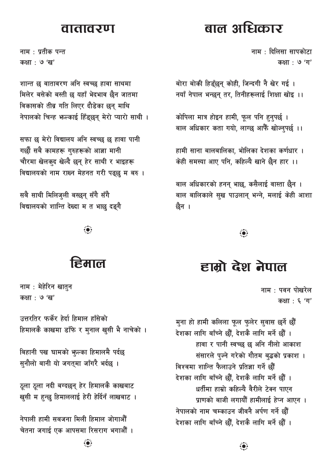#### <u> वातावरण</u>

नाम : प्रतीक पन्त कक्षा : ७ 'ख'

शान्त छ वातावरण अनि स्वच्छ हावा साथमा मिलेर बसेको बस्ती छ यहाँ भेदभाव छैन जातमा विकासको तीव्र गति लिएर दौडेका छन् माथि नेपालको चिन्ह भल्काई हिँडुछन् मेरो प्यारो साथी ।

सफा छ मेरो विद्यालय अनि स्वच्छ छ हावा पानी गर्छौ सबै कामहरू गुरुहरूको आज्ञा मानी चौरमा खेलकुद खेल्दै छन् हेर साथी र भाइहरू विद्यालयको नाम राख्न मेहनत गरी पढ्छु म बरु ।

सबै साथी मिलिज्ली बस्छन् सँगै सँगै विद्यालयको शान्ति देख्दा म त भाछ दङ्गै

## इिमाल

नाम : मेहेरिन खातुन कक्षा : ७ 'ख'

उत्तरतिर फर्केर हेर्दा हिमाल हाँसेको हिमालकै काखमा डाँफे र मुनाल खुसी भै नाचेको ।

बिहानी पख घामको भूल्का हिमालमै पर्दछ सुनौलो बानी यो जगतुमा जाँगरै भर्दछ ।

ठूला ठूला नदी बग्दछन् हेर हिमालकै काखबाट खुसी म हुन्छु हिमाललाई हेरी हेर्दिनँ लाखबाट ।

नेपाली हामी सबजना मिली हिमाल जोगाऔँ चेतना जगाई एक आपसमा रिसराग भगाऔँ ।

# बाल अधिकार

नाम : दिलिसा सापकोटा कक्षा: ७ 'ग'

बोरा बोकी हिडुँछन् कोही, जिन्दगी नै खेर गई। नयाँ नेपाल भन्छन् तर, तिनीहरूलाई शिक्षा खोइ ।।

कोपिला मात्र होइन हामी, फूल पनि हुनुपर्छ । बाल अधिकार कता गयो, लाग्छ आफैँ खोज्नुपर्छ ।।

हामी साना बालबालिका, भोलिका देशका कर्णधार । केही समस्या आए पनि. कहिल्यै खाने छैन हार ।।

बाल अधिकारको हनन् भाछ, कसैलाई वास्ता छैन । बाल बालिकाले सुख पाउलान् भन्ने, मलाई केही आशा छैन ।

 $\ddot{\bullet}$ 

# हाम्रो देश नेपाल

नाम : पवन पोखरेल कक्षा: ६ 'ग'

मुना हो हामी कलिला फूल फुलेर सुवास छर्ने छौँ देशका लागि बाँच्ने छौँ. देशकै लागि मर्ने छौँ । हावा र पानी स्वच्छ छ अनि नीलो आकाश संसारले पुज्ने गरेको गौतम बुद्धको प्रकाश । विश्वमा शान्ति फैलाउने प्रतिज्ञा गर्ने छौं देशका लागि बाँच्ने छौँ. देशकै लागि मर्ने छौँ । धर्तीमा हाम्रो कहिल्यै वैरीले टेक्न पाएन प्राणको बाजी लगायौँ हामीलाई हेप्न आएन । नेपालको नाम चम्काउन जीवनै अर्पण गर्ने छौं देशका लागि बाँच्ने छौँ, देशकै लागि मर्ने छौँ ।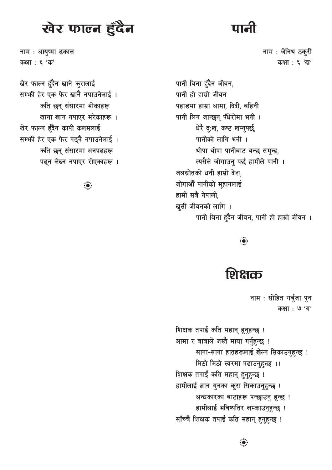# खेर फाल्न हुँदैन

नाम: आयुष्मा ढकाल कक्षा : ६ 'क'

खेर फाल्न हुँदैन खाने कुरालाई सम्भी हेर एक फेर खानै नपाउनेलाई। कति छन् संसारमा भोकाहरू खाना खान नपाएर मरेकाहरू । खेर फाल्न हुँदैन कापी कलमलाई सम्भी हेर एक फेर पढ्नै नपाउनेलाई। कति छन् संसारमा अनपढहरू पढ्न लेख्न नपाएर रोएकाहरू।

 $\ddot{\bullet}$ 

नाम : जेनिथ ठक्री कक्षा : ६ 'ख'

पानी बिना हँदैन जीवन, पानी हो हाम्रो जीवन पहाडमा हाम्रा आमा, दिदी, बहिनी पानी लिन जान्छन् पँधेरोमा भनी । धेरै दृ:ख, कष्ट खप्नुपर्छ, पानीको लागि भनी । थोपा थोपा पानीबाट बन्छ समन्द्र, त्यसैले जोगाउन् पर्छ हामीले पानी । जलस्रोतको धनी हाम्रो देश, जोगाऔँ पानीको महानलाई हामी सबै नेपाली. खुसी जीवनको लागि । पानी बिना हँदैन जीवन, पानी हो हाम्रो जीवन ।

 $\ddot{\bullet}$ 

## शिक्षक

नाम : सोहित गर्बजा पन कक्षा : **७** 'ग'

शिक्षक तपाईं कति महान् हुनुहन्छ ! आमा र बाबाले जस्तै माया गर्नहन्छ ! साना-साना हातहरूलाई खेल्न सिकाउन्हुन्छ ! मिठो मिठो स्वरमा पढाउन्हुन्छ ।। शिक्षक तपाईं कति महान् हुनुहुन्छ ! हामीलाई ज्ञान गुनका कुरा सिकाउनुहुन्छ ! अन्धकारका बाटाहरू पन्छाउनु हुन्छ ! हामीलाई भविष्यतिर लम्काउनहुन्छ ! साँच्चै शिक्षक तपाईं कति महान् हनहन्छ !

 $\ddot{\bullet}$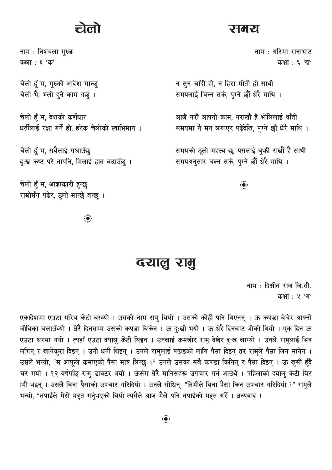# लो

नाम : निश्चला गुरुङ कक्षा : ६ 'क'

चेलो हुँ म, गुरुको आदेश मान्छु चेलो भैे, भलो हने काम गर्छ ।

चेलो हूँ म, देशको कर्णधार धर्तीलाई रक्षा गर्ने हो, हरेक चेलोको स्वाभिमान ।

चेलो हँ म, सबैलाई सघाउँछ दृ:ख कष्ट परे तापनि, मिलाई हात बढाउँछ ।

चेलो हँ म, आज्ञाकारी हुन्छ राम्रोसँग पढेर, ठुलो मान्छे बन्छ ।

 $\ddot{\bullet}$ 

#### दयालु रामु

नाम: दिक्षीत राज जि.सी. कक्षा: ५ 'ग'

एकादेशमा एउटा गरिब केटो बस्थ्यो । उसको नाम राम् थियो । उसको कोही पनि थिएनन् । ऊ कपडा बेचेर आफ्नो जीविका चलाउँथ्यो । धेरै दिनसम्म उसको कपडा बिकेन । ऊ दु:खी भयो । ऊ धेरै दिनबाट भोको थियो । एक दिन ऊ एउटा घरमा गयो । त्यहाँ एउटा दयाल् केटी थिइन । उनलाई कमजोर राम् देखेर दृ:ख लाग्यो । उनले राम्लाई भित्र लगिन् र खानेक्रा दिइन् । उनी धनी थिइन् । उनले रामलाई पढाइको लागि पैसा दिइन् तर रामले पैसा लिन मानेन । उसले भन्यो, "म आफूले कमाएको पैसा मात्र लिन्छु ।" उनले उसका सबै कपडा किनिन् र पैसा दिइन् । ऊ खुसी हुँदै घर गयो । १२ वर्षपछि रामु डाक्टर भयो । ऊसँग धेरै मानिसहरू उपचार गर्न आउँथे । पहिलाको दयालु केटी बिर ामी भइन् । उसले बिना पैसाको उपचार गरिदियो । उनले सोधिन्, "तिमीले बिना पैसा किन उपचार गरिदियो ?" राम्ले भन्यो, "तपाईंले मेरो मद्दत गर्नुभएको थियो त्यसैले आज मैले पनि तपाईंको मद्दत गर्रें । धन्यवाद !

#### **रामरा**

नाम : गरिमा रानाभाट कक्षा : ६ 'ख'

न सुन चाँदी हो, न हिरा मोती हो साथी समयलाई चिन्न सके. पग्ने छौं धेरै माथि ।

आजै गरौं आफ्नो काम, नराखौं है भोलिलाई थाँती समयमा नै मन लगाएर पढेदेखि, पुग्ने छौं धेरै माथि ।

समयको ठूलो महत्त्व छ, यसलाई बुफी राखौं है साथी समयअनुसार चल्न सके, पुग्ने छौं धेरै माथि ।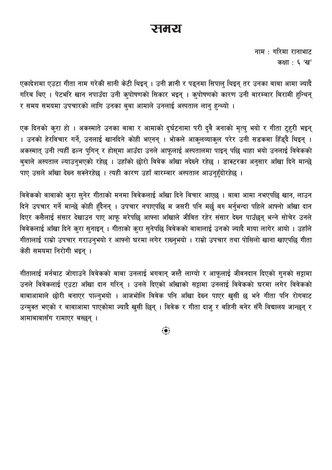#### रामरा

नाम : गरिमा रानाभाट कक्षा : ६ 'ख'

एकादेशमा एउटा गीता नाम गरेकी सानी केटी थिइन् । उनी ज्ञानी र पढ्नमा सिपाल् थिइन् तर उनका बाबा आमा ज्यादै गरिब थिए । पेटभरि खान नपाउँदा उनी कुपोषणको सिकार भइन् । कुपोषणको कारण उनी बारम्बार बिरामी हुन्थिन् र समय समयमा उपचारको लागि उनका बुबा आमाले उनलाई अस्पताल लानु हुन्थ्यो ।

एक दिनको कुरा हो । अकस्माते उनका बाबा र आमाको दुर्घटनामा परी दुवै जनाको मृत्यु भयो र गीता टुहरी भइन् । उनको हेरविचार गर्ने, उनलाई खानदिने कोही भएनन् । भोकले आकुलव्याकुल परेर उनी सडकमा हिँड्दै थिइन् । अकस्मात् उनी त्यहीँ ढल्न पुगिन् र होस्मा आउँदा उनले आफूलाई अस्पतालमा पाइन् पछि थाहा भयो उनलाई विवेकको बुबाले अस्पताल ल्याउनुभएको रहेछ । उहाँको छोरो विवेक आँखा नदेख्ने रहेछ । डाक्टरका अनुसार आँखा दिने मान्छे पाए उसले आँखा देख्न सक्नेरहेछ । त्यही कारण उहाँ बारम्बार अस्पताल आउनुहुँदोरहेछ ।

विवेकको बाबाको कुरा सुनेर गीताको मनमा विवेकलाई आँखा दिने विचार आएछ । बाबा आमा नभएपछि खान, लाउन दिने उपचार गर्ने मान्छे कोही हुँदैनन् । उपचार नपाएपछि म जसरी पनि मर्छु बरु मर्नुभन्दा पहिले आफ्नो आँखा दान दिएर कसैलाई संसार देखाउन पाए आफू मरेपछि आफ्ना आँखाले जीवित रहेर संसार देख्न पाउँछन् भन्ने सोचेर उनले विवेकलाई आँखा दिने कुरा सुनाइन् । गीताको कुरा सुनेपछि विवेकको बाबालाई उनको ज्यादै माया लागेर आयो । उहाँले गीतालाई राम्रो उपचार गराउनुभयो र आफ्नो घरमा लगेर राख्नुभयो । राम्रो उपचार तथा पोसिलो खाना खाएपछि गीता केही समयमा निरोगी भइन् ।

गीतालाई मर्नबाट जोगाउने विवेकको बाबा उनलाई भगवान् जस्तै लाग्यो र आफूलाई जीवनदान दिएको गुनको सट्टामा उनले विवेकलाई एउटा आँखा दान गरिन् । उनले दिएको आँखाको सट्टामा उनलाई विवेकको घरमा लगेर विवेकको बाबाआमाले छोरी बनाएर पाल्नभयो । आजभोलि विवेक पनि आँखा देख्न पाएर खसी छ भने गीता पनि रोगबाट उन्मुक्त भएको र बाबाआमा पाएकोमा ज्यादै खुसी छिन् । विवेक र गीता दाजु र बहिनी बनेर सँगै विद्यालय जान्छन् र आमाबाबासँग रामाएर बस्छन्।

 $\ddot{\bullet}$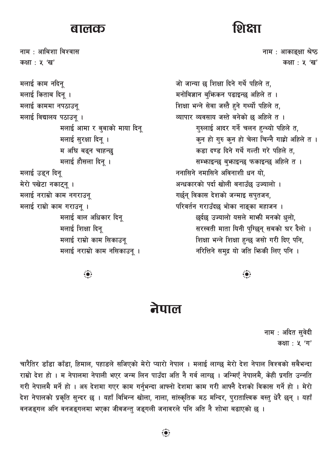#### बालक

नाम : आबिशा विश्वास कक्षा: ५ 'ख' मलाई काम नदिन् मलाई किताब दिन् । मलाई काममा नपठाउनू मलाई विद्यालय पठाउन् । मलाई आमा र बबाको माया दिन् मलाई सुरक्षा दिन् । म अघि बढ्न चाहन्छ मलाई हौसला दिन् । मलाई उड्न दिन् मेरो पखेटा नकाट्नू । मलाई नराम्रो काम नगराउनू मलाई राम्रो काम गराउन् । मलाई बाल अधिकार दिन मलाई शिक्षा दिन् मलाई राम्रो काम सिकाउनू मलाई नराम्रो काम नसिकाउन् ।

# **DT 2TT**

नाम : आकाइक्षा श्रेष्ठ कक्षा: ५ 'ख'

जो जान्या छ शिक्षा दिने गर्थे पहिले त. मनोविज्ञान बफिकन पढाइन्छ अहिले त । शिक्षा भन्ने सेवा जस्तै हुने गर्थ्यो पहिले त, व्यापार व्यवसाय जस्ते बनेको छ अहिले त । गुरुलाई आदर गर्ने चलन हुन्थ्यो पहिले त, कुन हो गुरु कुन हो चेला चिन्नै गाह्रो अहिले त । कड़ा दण्ड दिने गर्थे गल्ती गरे पहिले त, सम्भाइन्छ ब्भाइन्छ फकाइन्छ अहिले त। ननासिने नमासिने अविनाशी धन यो, अन्धकारको पर्दा खोली बनाउँछ उज्यालो । गर्छन विकास देशको जन्माइ सपतजन. परिवर्तन गराउँदछ भोका नाङ्का महाजन । छर्दछ उज्यालो यसले माभी मनको धलो. सरस्वती माता यिनी परिछन सबको घर दैलो । शिक्षा भन्ने शिक्षा हुन्छ जसो गरी दिए पनि, नरित्तिने समुद्र यो जति फिकी लिए पनि ।

#### नेपाल

नाम : अदित सुवेदी कक्षा: ५ 'ग'

चारैतिर डाँडा काँडा, हिमाल, पहाडले सजिएको मेरो प्यारो नेपाल । मलाई लाग्छ मेरो देश नेपाल विश्वको सबैभन्दा राम्रो देश हो । म नेपालमा नेपाली भएर जन्म लिन पाउँदा अति नै गर्व लाग्छ । जन्मिएँ नेपालमै. केही प्रगति उन्नति गरी नेपालमै मर्ने हो । अरु देशमा गएर काम गर्नुभन्दा आफ्नो देशमा काम गरी आफ्नै देशको विकास गर्ने हो । मेरो देश नेपालको प्रकृति सुन्दर छ । यहाँ विभिन्न खोला, नाला, सांस्कृतिक मठ मन्दिर, पुरातात्त्विक वस्तु धेरै छन् । यहाँ वनजङ्गल अनि वनजङ्गलमा भएका जीवजन्त् जङ्गली जनावरले पनि अति नै शोभा बढाएको छ ।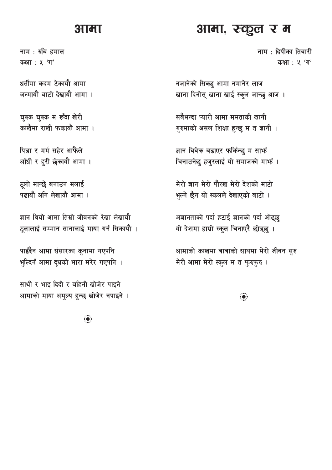#### शामा

नाम : रुबि हमाल कक्षा: ५ 'ग'

धर्तीमा कदम टेकायौ आमा जन्मायौ बाटो देखायौ आमा ।

घुक्क घुक्क म रूँदा खेरी काखैमा राखी फकायौ आमा ।

पिड़ा र मर्म सहेर आफैले आँधी र हरी छेकायौ आमा ।

ठूलो मान्छे बनाउन मलाई पत्नायौ अनि लेखायौ आमा ।

ज्ञान थियो आमा तिम्रो जीवनको रेखा लेखायौ ठूलालाई सम्मान सानालाई माया गर्न सिकायौ ।

पाइँदैन आमा संसारका कुनामा गएपनि भुल्दिनँ आमा दुधको भारा मरेर गएपनि ।

साथी र भाइ दिदी र बहिनी खोजेर पाइने आमाको माया अमुल्य हुन्छ खोजेर नपाइने ।

 $\dddot{\bullet}$ 

#### आमा, रन्कूल र म

नाम $\pm$  दिपीका तिवारी कक्षा: ५ 'ग'

नजानेको सिक्छ आमा नमानेर लाज खाना दिनोस् खाना खाई स्कूल जान्छ आज।

सबैभन्दा प्यारी आमा ममताकी खानी गुरुमाको असल शिक्षा हुन्छु म त ज्ञानी ।

ज्ञान विवेक बढाएर फर्किन्छ म साफँ चिनाउनेछ हजुरलाई यो समाजको माफँ ।

मेरो ज्ञान मेरो पौरख मेरो देशको माटो भूल्ने छैन यो स्कलले देखाएको बाटो ।

अज्ञानताको पर्दा हटाई ज्ञानको पर्दा ओढ्छ यो देशमा हाम्रो स्कूल चिनाएरै छोड्छ ।

आमाको काखमा बाबाको साथमा मेरो जीवन सुरु मेरी आमा मेरो स्कुल म त फुरुफुरु।

 $\ddot{\bullet}$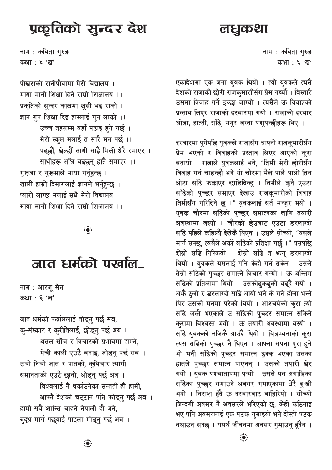# प्रकूतिको सुन्दर देश

लधुकथा

नाम : कविता गुरुङ कक्षा : ६ 'ख'

पोखराको रानीपौवामा मेरो विद्यालय । माया मानी शिक्षा दिने राम्रो शिक्षालय ।। प्रकृतिको सुन्दर काखमा खुसी भइ राको । ज्ञान गुन शिक्षा दिइ हाम्लाई गुन लाको ।। उच्च तहसम्म यहाँ पढाइ हुने गर्छ। मेरो स्कूल मलाई त सारै मन पर्छ ।। पढ़छौं, खेल्छौँ साथी साह्रै मिली धेरै रमाएर । साथीहरू अघि बढ्छन् हातै समाएर ।। गरूबा र गरूमाले माया गर्नुहुन्छ । खाली हाम्रो दिमागलाई ज्ञानले भर्नहन्छ । प्यारो लाग्छ मलाई सधैं मेरो विद्यालय माया मानी शिक्षा दिने राम्रो शिक्षालय ।।

 $\ddot{\bullet}$ 

# जात धर्मको पर्खाल...

नाम : आरजू सेन कक्षा : ६ 'ख'

जात धर्मको पर्खाललाई तोड्नु पर्छ सब, क्-संस्कार र क्रीतिलाई, छोड्न् पर्छ अब । असल सोंच र विचारको प्रभावमा हाम्ले. मेची काली एउटै बनाइ, जोड्न् पर्छ सब । उचो निचो जात र पातको, कुविचार त्यागी समानताको एउटै छानो, ओडुन पर्छ अब । विश्वलाई नै थर्काउनेका सन्तती हौ हामी, आफ्नै देशको चट्टान पनि फोड्नु पर्छु अब । हामी सबै शान्ति चाहने नेपाली हौ भने. बद्ध मार्ग पछयाई पाइला मोड्न पर्छ अब ।

नाम : कविता गुरुङ कक्षा : ६ 'ख'

एकादेशमा एक जना युवक थियो । त्यो युवकले त्यसै देशको राजाकी छोरी राजकुमारीासँग प्रेम गर्थ्यो । बिस्तारै उसमा विवाह गर्ने इच्छा जाग्यो । त्यसैले ऊ विवाहको प्रस्ताव लिएर राजाको दरबारमा गयो । राजाको दरबार घोडा, हात्ती, साँढे, मयुर जस्ता पशुपन्छीहरू थिए ।

दरबारमा पुगेपछि युवकले राजासँग आफ्नो राजकुमारीसँग प्रेम भएको र विवाहको प्रस्ताव लिएर आएको कुरा बतायो । राजाले युवकलाई भने, "तिमी मेरी छोरीसँग विवाह गर्न चाहन्छौ भने यो चौरमा मैले पालै पालो तिन ओटा साँढे फकाएर छाडिदिन्छ । तिमीले क्नै एउटा साँढेको पच्छर समाएर देखाउ राजक्मारीको विवाह तिमीसँग गरिदिने छ ।" युवकलाई सर्त मन्जुर भयो । युवक चौरमा साँढेको पुच्छर समात्नका लागि तयारी अवस्थामा बस्यो । चौरको छेउबाट एउटा डरलाग्दो साँढे पहिले कहिल्यै देखेकै थिएन । उसले सोच्यो, "यसले मार्न सक्छ, त्यसैले अर्को साँढेको प्रतिक्षा गर्छ ।" यसपछि दोस्रो साँढे निस्कियो । दोस्रो साँढे त भन् डरलाग्दो थियो । युवकले यसलाई पनि केही गर्न सकेन । उसले तेस्रो साँढेको पच्छर समात्ने विचार गऱ्यो । ऊ अन्तिम साँढेको प्रतिक्षामा थियो । उसकोढकढकी बढ्दै गयो । अभै ठूलो र डरलाग्दो साँढे आयो भने के गर्ने होला भन्ने पिर उसको मनमा परेको थियो । आश्चर्यको कुरा त्यो साँढे जस्तै भएकाले उ साँढेको पच्छर समात्न सकिने करामा विश्वस्त भयो । ऊ तयारी अवस्थामा बस्यो । साँढे युवकको नजिकै आउँदै थियो । बिडम्बनाको कुरा त्यस साँढेको पुच्छर नै थिएन । आफ्ना सपना पुरा हुने भो भनी साँढेको पच्छर समात्न ढ्क्क भएका उसका हातले पच्छर समात्न पाएनन् । उसको तयारी खेर गयो । युवक पश्चातापमा पऱ्यो । उसले यस अगाडिका साँढेका पच्छर समाउने अवसर गमाएकामा धेरै दृ:खी भयो । निराश हुँदै ऊ दरबारबाट बाहिरियो । सोच्यो जिन्दगी अवसर नै अवसरले भरिएको छ, केही कठिनाइ भए पनि अवसरलाई एक पटक गुमाइयो भने दोस्तो पटक नआउन सक्छ । यसर्थ जीवनमा अवसर गमाउन हँदैन ।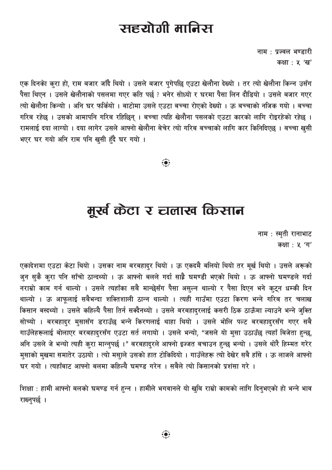# सहयोगी मानिस

नाम : प्रज्वल भण्डारी कक्षा: ५ 'ख'

एक दिनको कुरा हो, राम बजार जाँदै थियो । उसले बजार पुगेपछि एउटा खेलौना देख्यो । तर त्यो खेलौना किन्न उसँग पैसा थिएन । उसले खेलौनाको पसलमा गएर कति पर्छ ? भनेर सोध्यो र घरमा पैसा लिन दौडियो । उसले बजार गएर त्यो खेलौना किन्यो । अनि घर फर्कियो । बाटोमा उसले एउटा बच्चा रोएको देख्यो । ऊ बच्चाको नजिक गयो । बच्चा गरिब रहेछ । उसको आमापनि गरिब रहिछिन् । बच्चा त्यहि खेलौना पसलको एउटा कारको लागि रोइरहेको रहेछ । रामलाई दया लाग्यो । दया लागेर उसले आफ्नो खेलौना बेचेर त्यो गरिब बच्चाको लागि कार किनिदिएछ । बच्चा खुसी भएर घर गयो अनि राम पनि खुसी हँदै घर गयो ।

# मूर्ख केटा र चलाख किसान

नाम : स्मृती रानाभाट कक्षा: ५ 'ग'

एकादेशमा एउटा केटा थियो । उसका नाम बरबहादुर थियो । ऊ एकदमै बलियो थियो तर मुर्ख थियो । उसले अरूको जुन सुकै कुरा पनि साँचो ठान्दथ्यो । ऊ आफ्नो बलले गर्दा साह्रै घमण्डी भएको थियो । ऊ आफ्नो घमण्डले गर्दा नराम्रो काम गर्न थाल्यो । उसले त्यहाँका सबै मान्छेसँग पैसा असुल्न थाल्यो र पैसा दिएन भने कुट्न धम्की दिन थाल्यो । ऊ आफूलाई सबैभन्दा शक्तिशाली ठान्न थाल्यो । त्यही गाउँमा एउटा किरण भन्ने गरिब तर चलाख किसान बस्दथ्यो । उसले कहिल्यै पैसा तिर्न सक्दैनथ्यो । उसले बरबहादुरलाई कसरी ठिक ठाऊँमा ल्याउने भन्ने जुक्ति सोच्यो । बरबहादुर मुसासँग डराउँछ भन्ने किरणलाई थाहा थियो । उसले भोलि पल्ट बरबहादुरसँग गएर सबै गाउँलेहरूलाई बोलाएर बरबहादरसँग एउटा सर्त लगायो । उसले भन्यो, "जसले यो मुसा उठाउँछ त्यहाँ बिजेता हुन्छ, अनि उसले जे भन्यो त्यही कुरा मान्नुपर्छ ।" बरबहादुरले आफ्नो इज्जत बचाउन हुन्छ भन्यो । उसले थोरै हिम्मत गरेर मुसाको मुखमा समातेर उठायो । त्यो मसाले उसको हात टोकिदियो । गाउँलेहरू त्यो देखेर सबै हाँसे । ऊ लाजले आफ्नो घर गयो । त्यहाँबाट आफ्नो बलमा कहिल्यै घमण्ड गरेन । सबैले त्यो किसानको प्रशंसा गरे ।

शिक्षा : हामी आफ्नो बलको घमण्ड गर्न हुन्न । हामीले भगवानले यो खुबि राम्रो कामको लागि दिनुभएको हो भन्ने भाव राख्न्पर्छ।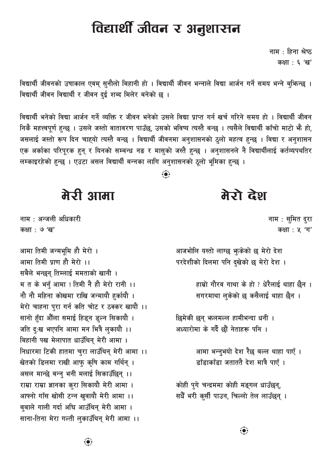विद्यार्थी जीवन र अनुशासन

नाम : हिना श्रेष्ठ कक्षा : ६ 'ख'

विद्यार्थी जीवनको उषाकाल एवम् सुनौलो बिहानी हो । विद्यार्थी जीवन भन्नाले विद्या आर्जन गर्ने समय भन्ने बुफिन्छ । विद्यार्थी जीवन विद्यार्थी र जीवन दई शब्द मिलेर बनेको छ ।

विद्यार्थी भनेको विद्या आर्जन गर्ने व्यक्ति र जीवन भनेको उसले विद्या प्राप्त गर्न खर्च गरिने समय हो । विद्यार्थी जीवन निकै महत्त्वपूर्ण हुन्छ । उसले जस्तो वातावरण पाउँछ, उसको भविष्य त्यस्तै बन्छ । त्यसैले विद्यार्थी काँचो माटो भै हो, जसलाई जस्तो रूप दिन चाहयो त्यस्तै बन्छ । विद्यार्थी जीवनमा अनुशासनको ठुलो महत्व हुन्छ । विद्या र अनुशासन एक अर्काका परिपुरक हुन् र यिनको सम्बन्ध नङ र मासुको जस्तै हुन्छु । अनुशासनले नै विद्यार्थीलाई कर्तव्यपथतिर लम्काइरहेको हुन्छ । एउटा असल विद्यार्थी बन्नका लागि अनुशासनको ठुलो भूमिका हुन्छ ।

 $\ddot{\bullet}$ 

मेरो देश

नाम : सुमित द्रा कक्षा: ५ 'ग'

आजभोलि यस्तो लाग्छ भूकेको छ मेरो देश परदेशीको दिलमा पनि दुखेको छ मेरो देश ।

> हाम्रो गौरव गाथा के हो ? धेरैलाई थाहा छैन । सगरमाथा लकेको छ कसैलाई थाहा छैन ।

- छिमेकी छन् भलमल्ल हामीभन्दा धनी । अध्यारोमा के गर्दै छौं नेताहरू पनि ।
	- आमा भन्नभयो देश रैछ बल्ल थाहा पाएँ। डाँडाकाँडा जताततै देश मात्रै पाएँ ।

कोही पुगे चन्द्रममा कोही मङ्गल धाउँछन्, सधैँ भरी कसी पाउन, चिल्लो तेल लाउँछन् ।

मेरी आमा

नाम: अन्जली अधिकारी कक्षा <sup>: ७</sup> 'ख'

आमा तिमी जन्मभूमि हौ मेरो । आमा तिमी पाण हौ मेरो ।। सबैले भन्छन् तिम्लाई ममताको खानी । म त के भनँ आमा ! तिमी नै हौ मेरो रानी ।। नौ नौ महिना कोखमा राखि जन्मायौ हुर्कायौ । मेरो चाहना पुरा गर्न कति चोट र ठक्कर खायौ ।। सानो हँदा औँला समाई हिड्न डल्न सिकायौ । जति दृ:ख भएपनि आमा मन भित्रै लुकायौ ।। बिहानी पख मेलापात धाउँथिन मेरी आमा । निधारमा टिकी हातमा चुरा लाउँथिन् मेरी आमा ।। खेतको डिलमा राखी आफ़ कृषि काम गर्थिन् । असल मान्छे बन्न् भनी मलाई सिकाउँछिन् ।। राम्रा राम्रा ज्ञानका कुरा सिकायौ मेरी आमा । आफ्नो गाँस खोसी टन्न खुवायौ मेरी आमा ।। बबाले गाली गर्दा अघि आउँथिन मेरी आमा । साना-तिना मेरा गल्ती लकाउँथिन मेरी आमा ।।